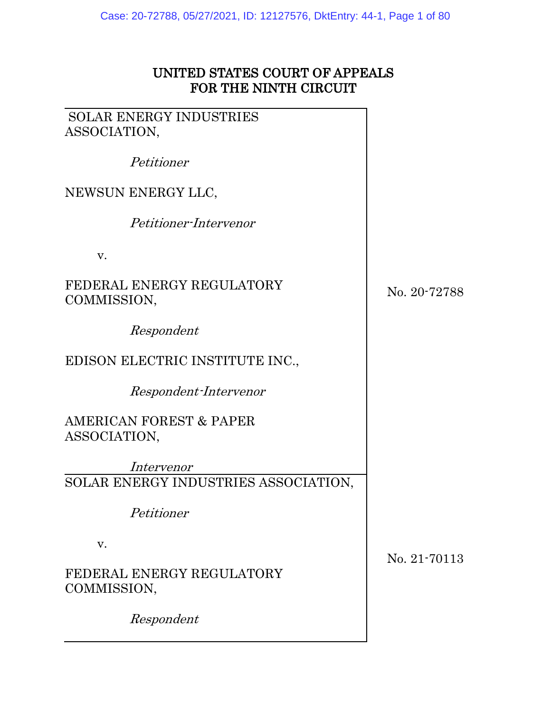## UNITED STATES COURT OF APPEALS FOR THE NINTH CIRCUIT

SOLAR ENERGY INDUSTRIES ASSOCIATION,

Petitioner

## NEWSUN ENERGY LLC,

Petitioner-Intervenor

v.

## FEDERAL ENERGY REGULATORY COMMISSION,

Respondent

# EDISON ELECTRIC INSTITUTE INC.,

Respondent-Intervenor

AMERICAN FOREST & PAPER ASSOCIATION,

Intervenor SOLAR ENERGY INDUSTRIES ASSOCIATION,

Petitioner

v.

## FEDERAL ENERGY REGULATORY COMMISSION,

Respondent

No. 20-72788

No. 21-70113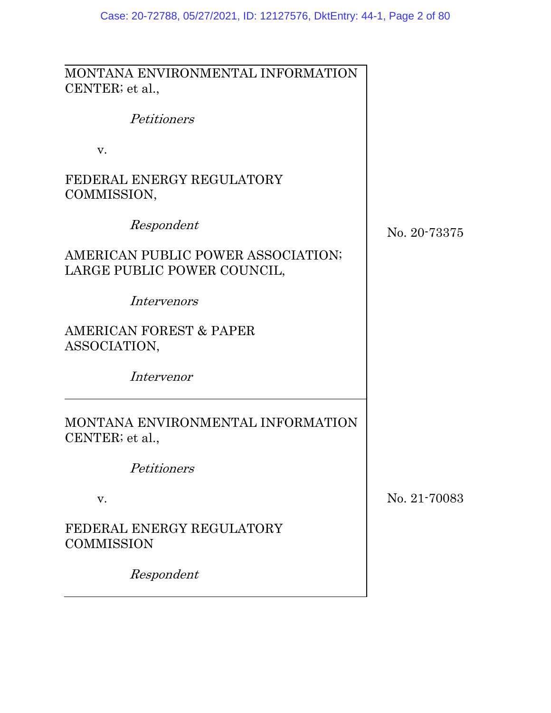MONTANA ENVIRONMENTAL INFORMATION CENTER; et al.,

Petitioners

v.

FEDERAL ENERGY REGULATORY COMMISSION,

Respondent

AMERICAN PUBLIC POWER ASSOCIATION; LARGE PUBLIC POWER COUNCIL,

Intervenors

AMERICAN FOREST & PAPER ASSOCIATION,

Intervenor

MONTANA ENVIRONMENTAL INFORMATION CENTER; et al.,

Petitioners

v.

FEDERAL ENERGY REGULATORY **COMMISSION** 

Respondent

No. 20-73375

No. 21-70083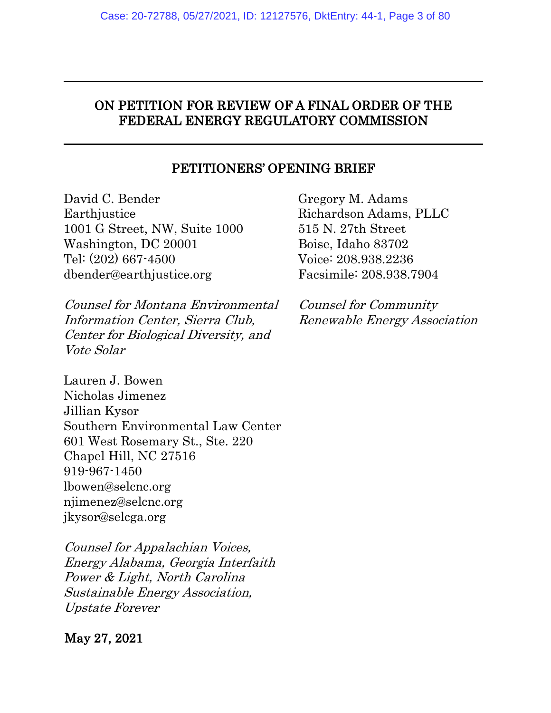## ON PETITION FOR REVIEW OF A FINAL ORDER OF THE FEDERAL ENERGY REGULATORY COMMISSION

### PETITIONERS' OPENING BRIEF

David C. Bender **Earthjustice** 1001 G Street, NW, Suite 1000 Washington, DC 20001 Tel: (202) 667-4500 dbender@earthjustice.org

Counsel for Montana Environmental Information Center, Sierra Club, Center for Biological Diversity, and Vote Solar

Lauren J. Bowen Nicholas Jimenez Jillian Kysor Southern Environmental Law Center 601 West Rosemary St., Ste. 220 Chapel Hill, NC 27516 919-967-1450 lbowen@selcnc.org njimenez@selcnc.org jkysor@selcga.org

Counsel for Appalachian Voices, Energy Alabama, Georgia Interfaith Power & Light, North Carolina Sustainable Energy Association, Upstate Forever

## May 27, 2021

Gregory M. Adams Richardson Adams, PLLC 515 N. 27th Street Boise, Idaho 83702 Voice: 208.938.2236 Facsimile: 208.938.7904

Counsel for Community Renewable Energy Association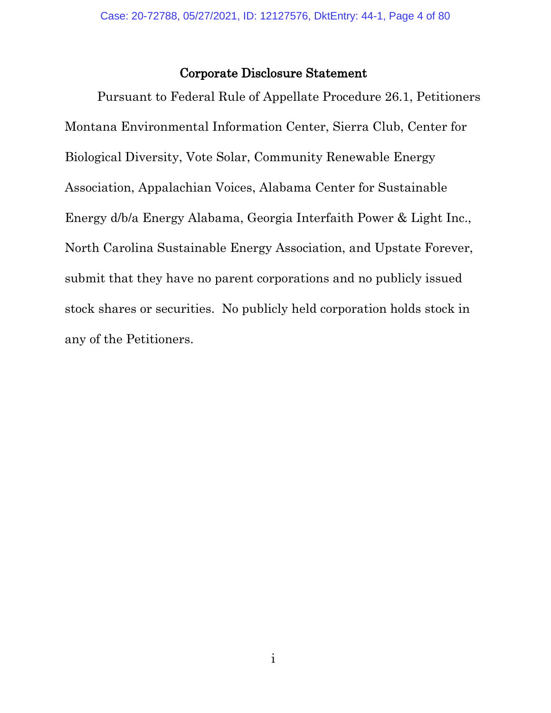#### Corporate Disclosure Statement

Pursuant to Federal Rule of Appellate Procedure 26.1, Petitioners Montana Environmental Information Center, Sierra Club, Center for Biological Diversity, Vote Solar, Community Renewable Energy Association, Appalachian Voices, Alabama Center for Sustainable Energy d/b/a Energy Alabama, Georgia Interfaith Power & Light Inc., North Carolina Sustainable Energy Association, and Upstate Forever, submit that they have no parent corporations and no publicly issued stock shares or securities. No publicly held corporation holds stock in any of the Petitioners.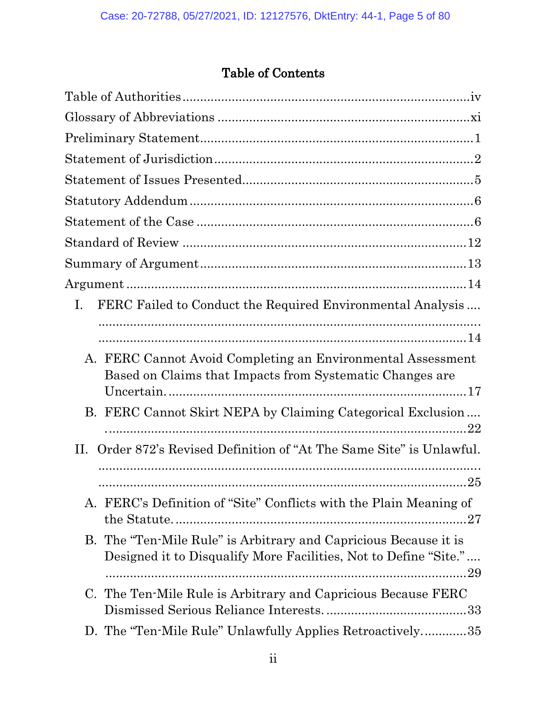# Table of Contents

| FERC Failed to Conduct the Required Environmental Analysis<br>L.                                                                           |
|--------------------------------------------------------------------------------------------------------------------------------------------|
|                                                                                                                                            |
| A. FERC Cannot Avoid Completing an Environmental Assessment                                                                                |
| Based on Claims that Impacts from Systematic Changes are                                                                                   |
| B. FERC Cannot Skirt NEPA by Claiming Categorical Exclusion<br>22                                                                          |
| Order 872's Revised Definition of "At The Same Site" is Unlawful.<br>П.                                                                    |
|                                                                                                                                            |
| A. FERC's Definition of "Site" Conflicts with the Plain Meaning of                                                                         |
| B. The "Ten-Mile Rule" is Arbitrary and Capricious Because it is<br>Designed it to Disqualify More Facilities, Not to Define "Site."<br>29 |
| C. The Ten-Mile Rule is Arbitrary and Capricious Because FERC                                                                              |
| D. The "Ten-Mile Rule" Unlawfully Applies Retroactively35                                                                                  |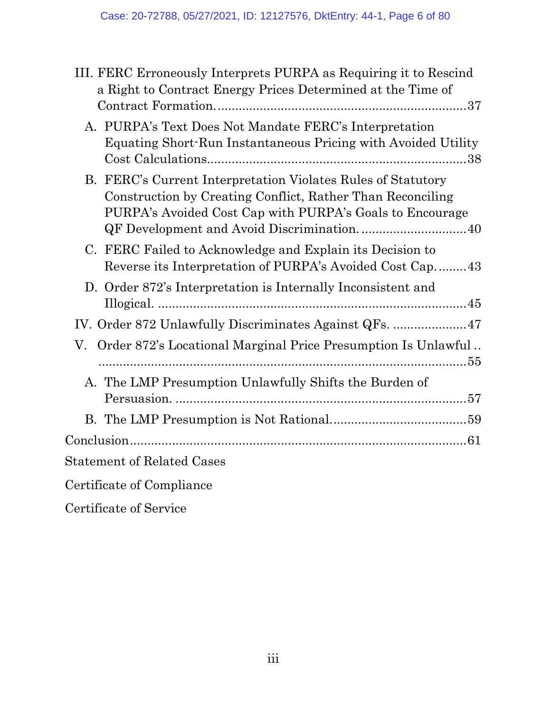| III. FERC Erroneously Interprets PURPA as Requiring it to Rescind<br>a Right to Contract Energy Prices Determined at the Time of                                                       |
|----------------------------------------------------------------------------------------------------------------------------------------------------------------------------------------|
| A. PURPA's Text Does Not Mandate FERC's Interpretation<br>Equating Short-Run Instantaneous Pricing with Avoided Utility                                                                |
| B. FERC's Current Interpretation Violates Rules of Statutory<br>Construction by Creating Conflict, Rather Than Reconciling<br>PURPA's Avoided Cost Cap with PURPA's Goals to Encourage |
| C. FERC Failed to Acknowledge and Explain its Decision to<br>Reverse its Interpretation of PURPA's Avoided Cost Cap43                                                                  |
| D. Order 872's Interpretation is Internally Inconsistent and                                                                                                                           |
|                                                                                                                                                                                        |
| V. Order 872's Locational Marginal Price Presumption Is Unlawful                                                                                                                       |
| A. The LMP Presumption Unlawfully Shifts the Burden of                                                                                                                                 |
|                                                                                                                                                                                        |
|                                                                                                                                                                                        |
| Statement of Related Cases                                                                                                                                                             |
| Certificate of Compliance                                                                                                                                                              |

Certificate of Service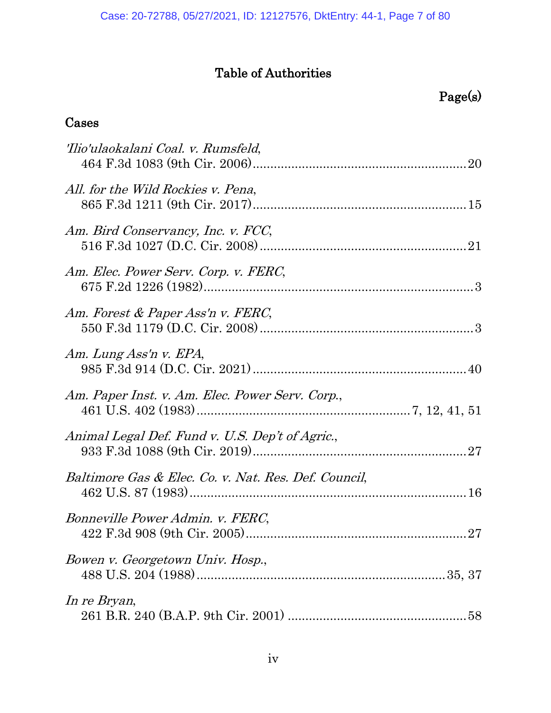# Table of Authorities

## <span id="page-6-0"></span>Cases

| 'Ilio'ulaokalani Coal. v. Rumsfeld,                  |  |
|------------------------------------------------------|--|
| All. for the Wild Rockies v. Pena,                   |  |
| Am. Bird Conservancy, Inc. v. FCC,                   |  |
| Am. Elec. Power Serv. Corp. v. FERC,                 |  |
| Am. Forest & Paper Ass'n v. FERC,                    |  |
| Am. Lung Ass'n v. EPA,                               |  |
| Am. Paper Inst. v. Am. Elec. Power Serv. Corp.,      |  |
| Animal Legal Def. Fund v. U.S. Dep't of Agric.,      |  |
| Baltimore Gas & Elec. Co. v. Nat. Res. Def. Council, |  |
| Bonneville Power Admin. v. FERC,                     |  |
| Bowen v. Georgetown Univ. Hosp.,                     |  |
| In re Bryan,                                         |  |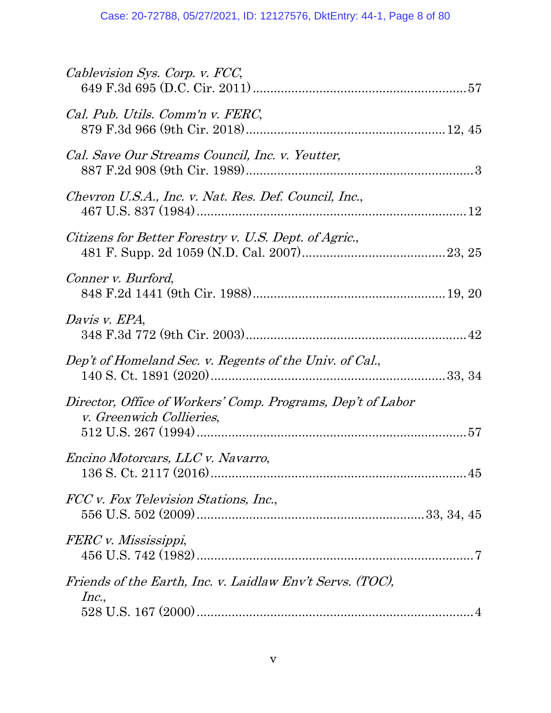| Cablevision Sys. Corp. v. FCC,                                                                 |  |
|------------------------------------------------------------------------------------------------|--|
| Cal. Pub. Utils. Comm'n v. FERC,                                                               |  |
| Cal. Save Our Streams Council, Inc. v. Yeutter,                                                |  |
| Chevron U.S.A., Inc. v. Nat. Res. Def. Council, Inc.,                                          |  |
| Citizens for Better Forestry v. U.S. Dept. of Agric.,                                          |  |
| Conner v. Burford,                                                                             |  |
| Davis v. EPA,                                                                                  |  |
| Dep't of Homeland Sec. v. Regents of the Univ. of Cal.,                                        |  |
| Director, Office of Workers' Comp. Programs, Dep't of Labor<br><i>v. Greenwich Collieries,</i> |  |
| Encino Motorcars, LLC v. Navarro,                                                              |  |
| FCC v. Fox Television Stations, Inc.,                                                          |  |
| FERC v. Mississippi,                                                                           |  |
| Friends of the Earth, Inc. v. Laidlaw Env't Servs. (TOC),<br>Inc.,                             |  |
|                                                                                                |  |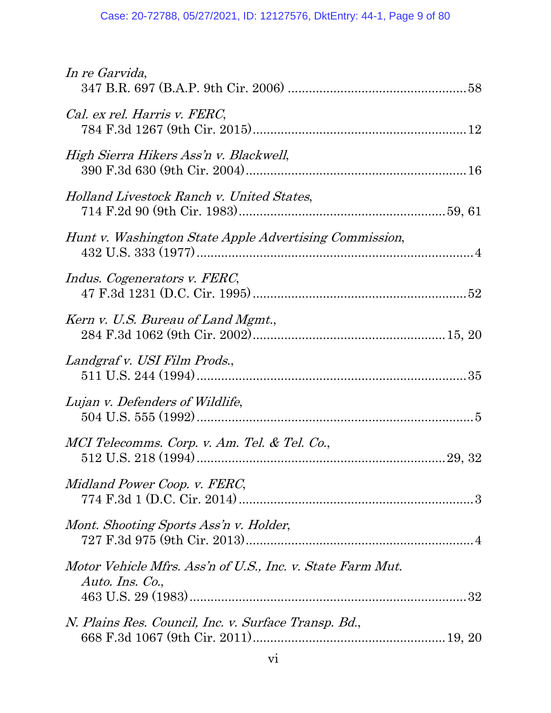| In re Garvida,                                                                |  |
|-------------------------------------------------------------------------------|--|
| Cal. ex rel. Harris v. FERC,                                                  |  |
| High Sierra Hikers Ass'n v. Blackwell,                                        |  |
| Holland Livestock Ranch v. United States,                                     |  |
| Hunt v. Washington State Apple Advertising Commission,                        |  |
| Indus. Cogenerators v. FERC,                                                  |  |
| Kern v. U.S. Bureau of Land Mgmt.,                                            |  |
| Landgraf v. USI Film Prods.,                                                  |  |
| Lujan v. Defenders of Wildlife,                                               |  |
| MCI Telecomms. Corp. v. Am. Tel. & Tel. Co.,                                  |  |
| Midland Power Coop. v. FERC,                                                  |  |
| Mont. Shooting Sports Ass'n v. Holder,                                        |  |
| Motor Vehicle Mfrs. Ass'n of U.S., Inc. v. State Farm Mut.<br>Auto. Ins. Co., |  |
| N. Plains Res. Council, Inc. v. Surface Transp. Bd.,                          |  |
|                                                                               |  |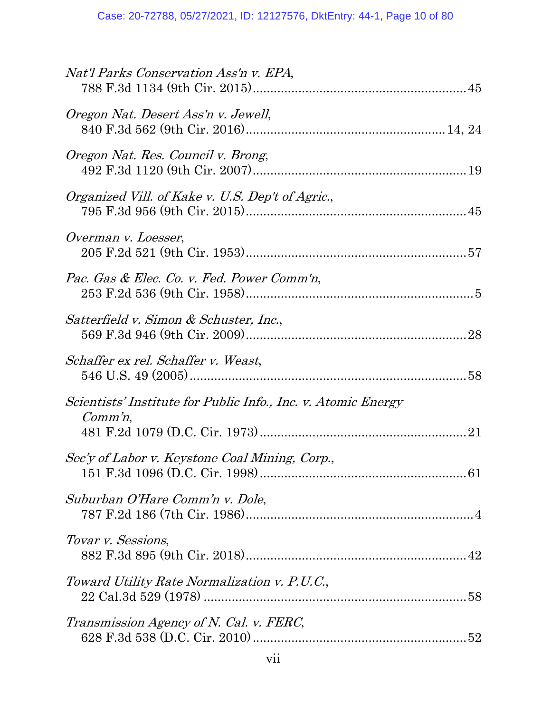| Nat'l Parks Conservation Ass'n v. EPA,                                      |
|-----------------------------------------------------------------------------|
| Oregon Nat. Desert Ass'n v. Jewell,                                         |
| Oregon Nat. Res. Council v. Brong,                                          |
| Organized Vill. of Kake v. U.S. Dep't of Agric.,                            |
| Overman v. Loesser,                                                         |
| Pac. Gas & Elec. Co. v. Fed. Power Comm'n,                                  |
| Satterfield v. Simon & Schuster, Inc.,                                      |
| Schaffer ex rel. Schaffer v. Weast,                                         |
| Scientists' Institute for Public Info., Inc. v. Atomic Energy<br>$Comm'n$ , |
| Sec'y of Labor v. Keystone Coal Mining, Corp.,                              |
| Suburban O'Hare Comm'n v. Dole,                                             |
| Tovar v. Sessions,                                                          |
| Toward Utility Rate Normalization v. P.U.C.,                                |
| Transmission Agency of N. Cal. v. FERC,                                     |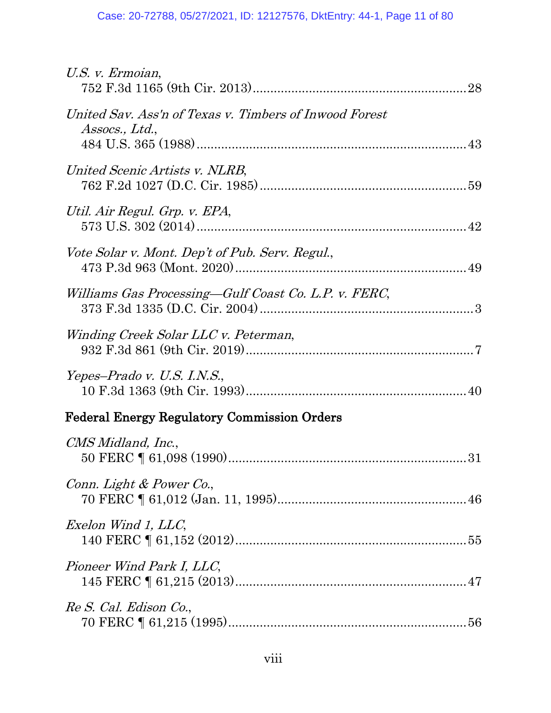| U.S. v. Ermoian,                                                         |
|--------------------------------------------------------------------------|
| United Sav. Ass'n of Texas v. Timbers of Inwood Forest<br>Assocs., Ltd., |
| United Scenic Artists v. NLRB,                                           |
| Util. Air Regul. Grp. v. EPA,                                            |
| Vote Solar v. Mont. Dep't of Pub. Serv. Regul.,                          |
| Williams Gas Processing-Gulf Coast Co. L.P. v. FERC,                     |
| Winding Creek Solar LLC v. Peterman,                                     |
| Yepes–Prado v. U.S. I.N.S.,                                              |
| <b>Federal Energy Regulatory Commission Orders</b>                       |
| CMS Midland, Inc.,                                                       |
| Conn. Light & Power Co.,                                                 |
| Exelon Wind 1, LLC,                                                      |
| Pioneer Wind Park I, LLC,                                                |
| Re S. Cal. Edison Co.,                                                   |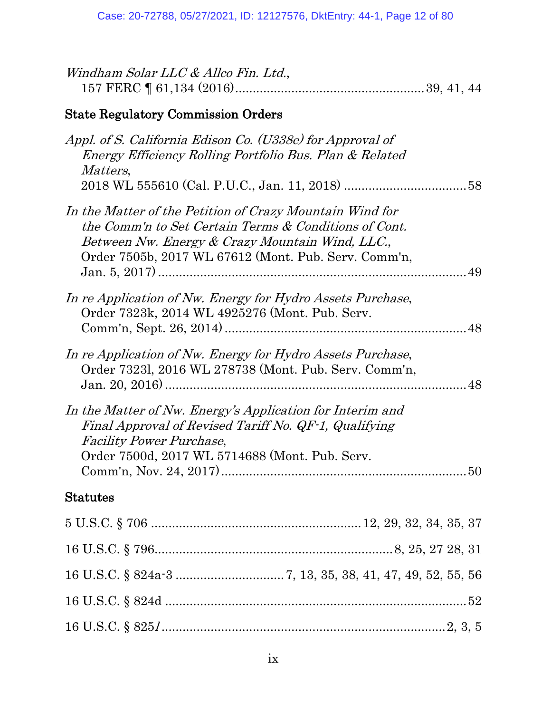| Windham Solar LLC & Allco Fin. Ltd.,                                                                                                                                                                                         |
|------------------------------------------------------------------------------------------------------------------------------------------------------------------------------------------------------------------------------|
| <b>State Regulatory Commission Orders</b>                                                                                                                                                                                    |
| Appl. of S. California Edison Co. (U338e) for Approval of<br>Energy Efficiency Rolling Portfolio Bus. Plan & Related<br><i>Matters,</i>                                                                                      |
| In the Matter of the Petition of Crazy Mountain Wind for<br>the Comm'n to Set Certain Terms & Conditions of Cont.<br>Between Nw. Energy & Crazy Mountain Wind, LLC.,<br>Order 7505b, 2017 WL 67612 (Mont. Pub. Serv. Comm'n, |
| In re Application of Nw. Energy for Hydro Assets Purchase,<br>Order 7323k, 2014 WL 4925276 (Mont. Pub. Serv.<br>48                                                                                                           |
| In re Application of Nw. Energy for Hydro Assets Purchase,<br>Order 73231, 2016 WL 278738 (Mont. Pub. Serv. Comm'n,                                                                                                          |
| In the Matter of Nw. Energy's Application for Interim and<br>Final Approval of Revised Tariff No. QF-1, Qualifying<br><b>Facility Power Purchase,</b><br>Order 7500d, 2017 WL 5714688 (Mont. Pub. Serv.                      |
| <b>Statutes</b>                                                                                                                                                                                                              |
|                                                                                                                                                                                                                              |
|                                                                                                                                                                                                                              |
|                                                                                                                                                                                                                              |
|                                                                                                                                                                                                                              |
|                                                                                                                                                                                                                              |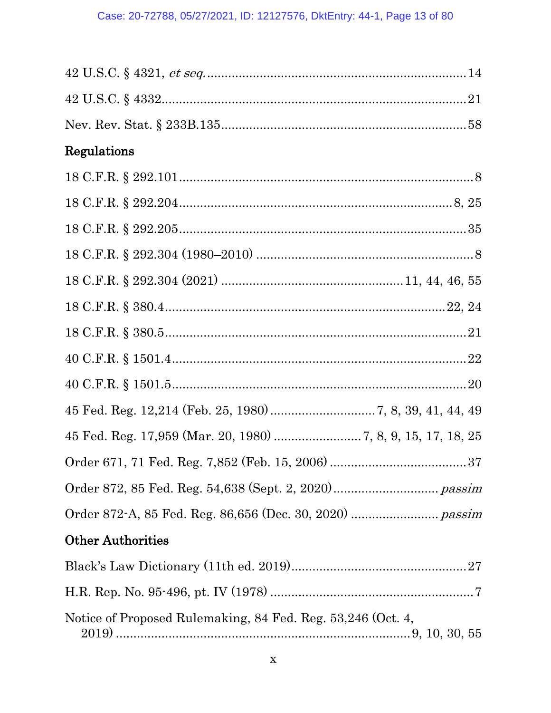| Regulations                                                  |
|--------------------------------------------------------------|
|                                                              |
|                                                              |
|                                                              |
|                                                              |
|                                                              |
|                                                              |
|                                                              |
|                                                              |
|                                                              |
|                                                              |
| 45 Fed. Reg. 17,959 (Mar. 20, 1980)  7, 8, 9, 15, 17, 18, 25 |
|                                                              |
|                                                              |
|                                                              |
| <b>Other Authorities</b>                                     |
|                                                              |
|                                                              |
| Notice of Proposed Rulemaking, 84 Fed. Reg. 53,246 (Oct. 4,  |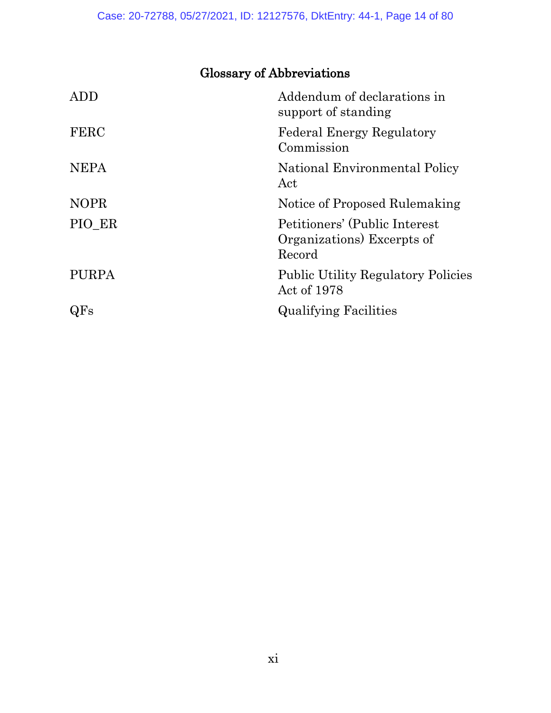# <span id="page-13-0"></span>Glossary of Abbreviations

| <b>ADD</b>   | Addendum of declarations in<br>support of standing                    |
|--------------|-----------------------------------------------------------------------|
| <b>FERC</b>  | <b>Federal Energy Regulatory</b><br>Commission                        |
| <b>NEPA</b>  | National Environmental Policy<br>Act                                  |
| <b>NOPR</b>  | Notice of Proposed Rulemaking                                         |
| PIO ER       | Petitioners' (Public Interest<br>Organizations) Excerpts of<br>Record |
| <b>PURPA</b> | <b>Public Utility Regulatory Policies</b><br>Act of 1978              |
| $\rm QFs$    | <b>Qualifying Facilities</b>                                          |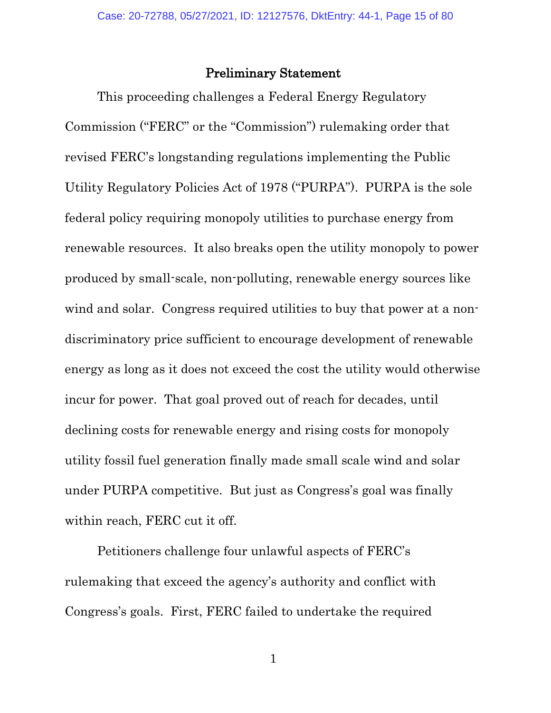### Preliminary Statement

<span id="page-14-0"></span>This proceeding challenges a Federal Energy Regulatory Commission ("FERC" or the "Commission") rulemaking order that revised FERC's longstanding regulations implementing the Public Utility Regulatory Policies Act of 1978 ("PURPA"). PURPA is the sole federal policy requiring monopoly utilities to purchase energy from renewable resources. It also breaks open the utility monopoly to power produced by small-scale, non-polluting, renewable energy sources like wind and solar. Congress required utilities to buy that power at a nondiscriminatory price sufficient to encourage development of renewable energy as long as it does not exceed the cost the utility would otherwise incur for power. That goal proved out of reach for decades, until declining costs for renewable energy and rising costs for monopoly utility fossil fuel generation finally made small scale wind and solar under PURPA competitive. But just as Congress's goal was finally within reach, FERC cut it off.

Petitioners challenge four unlawful aspects of FERC's rulemaking that exceed the agency's authority and conflict with Congress's goals. First, FERC failed to undertake the required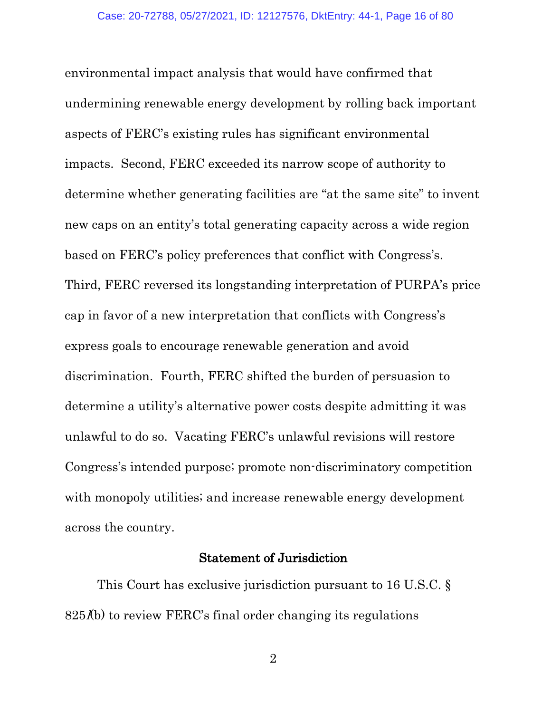environmental impact analysis that would have confirmed that undermining renewable energy development by rolling back important aspects of FERC's existing rules has significant environmental impacts. Second, FERC exceeded its narrow scope of authority to determine whether generating facilities are "at the same site" to invent new caps on an entity's total generating capacity across a wide region based on FERC's policy preferences that conflict with Congress's. Third, FERC reversed its longstanding interpretation of PURPA's price cap in favor of a new interpretation that conflicts with Congress's express goals to encourage renewable generation and avoid discrimination. Fourth, FERC shifted the burden of persuasion to determine a utility's alternative power costs despite admitting it was unlawful to do so. Vacating FERC's unlawful revisions will restore Congress's intended purpose; promote non-discriminatory competition with monopoly utilities; and increase renewable energy development across the country.

## <span id="page-15-1"></span>Statement of Jurisdiction

<span id="page-15-0"></span>This Court has exclusive jurisdiction pursuant to 16 U.S.C. §  $825<sub>l</sub>(b)$  to review FERC's final order changing its regulations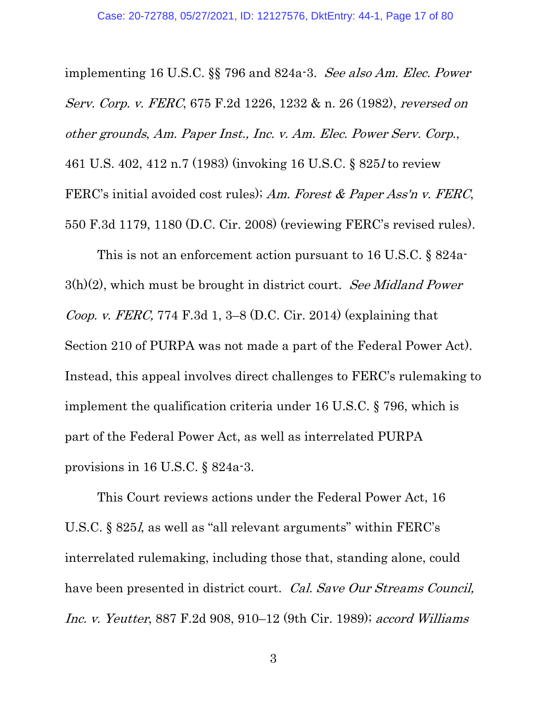<span id="page-16-0"></span>implementing 16 U.S.C. §§ 796 and 824a-3. See also Am. Elec. Power Serv. Corp. v. FERC, 675 F.2d 1226, 1232 & n. 26 (1982), reversed on other grounds, Am. Paper Inst., Inc. v. Am. Elec. Power Serv. Corp., 461 U.S. 402, 412 n.7 (1983) (invoking 16 U.S.C. § 825l to review FERC's initial avoided cost rules); Am. Forest & Paper Ass'n v. FERC, 550 F.3d 1179, 1180 (D.C. Cir. 2008) (reviewing FERC's revised rules).

<span id="page-16-3"></span><span id="page-16-1"></span>This is not an enforcement action pursuant to 16 U.S.C. § 824a- $3(h)(2)$ , which must be brought in district court. See Midland Power Coop. v. FERC, 774 F.3d 1, 3–8 (D.C. Cir. 2014) (explaining that Section 210 of PURPA was not made a part of the Federal Power Act). Instead, this appeal involves direct challenges to FERC's rulemaking to implement the qualification criteria under 16 U.S.C. § 796, which is part of the Federal Power Act, as well as interrelated PURPA provisions in 16 U.S.C. § 824a-3.

<span id="page-16-5"></span><span id="page-16-4"></span><span id="page-16-2"></span>This Court reviews actions under the Federal Power Act, 16 U.S.C. § 825l, as well as "all relevant arguments" within FERC's interrelated rulemaking, including those that, standing alone, could have been presented in district court. Cal. Save Our Streams Council, Inc. v. Yeutter, 887 F.2d 908, 910–12 (9th Cir. 1989); accord Williams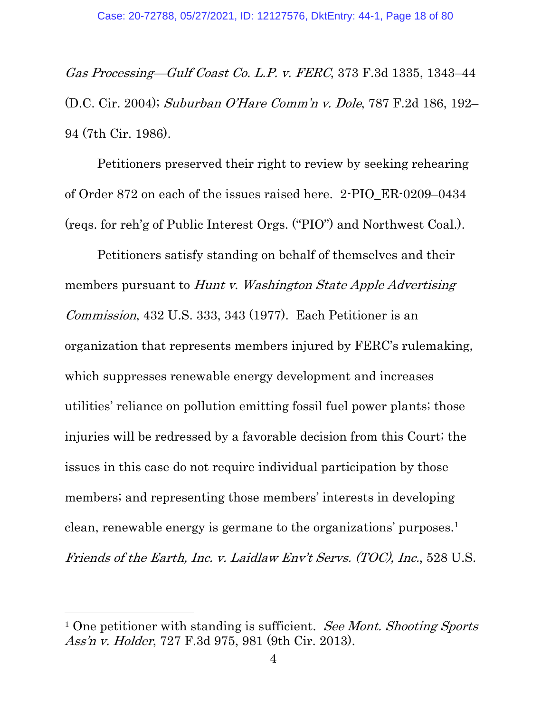<span id="page-17-3"></span>Gas Processing—Gulf Coast Co. L.P. v. FERC, 373 F.3d 1335, 1343–44 (D.C. Cir. 2004); Suburban O'Hare Comm'n v. Dole, 787 F.2d 186, 192– 94 (7th Cir. 1986).

Petitioners preserved their right to review by seeking rehearing of Order 872 on each of the issues raised here. 2-PIO\_ER-0209–0434 (reqs. for reh'g of Public Interest Orgs. ("PIO") and Northwest Coal.).

<span id="page-17-1"></span>Petitioners satisfy standing on behalf of themselves and their members pursuant to *Hunt v. Washington State Apple Advertising* Commission, 432 U.S. 333, 343 (1977). Each Petitioner is an organization that represents members injured by FERC's rulemaking, which suppresses renewable energy development and increases utilities' reliance on pollution emitting fossil fuel power plants; those injuries will be redressed by a favorable decision from this Court; the issues in this case do not require individual participation by those members; and representing those members' interests in developing clean, renewable energy is germane to the organizations' purposes.[1](#page-17-4) Friends of the Earth, Inc. v. Laidlaw Env't Servs. (TOC), Inc., 528 U.S.

<span id="page-17-4"></span><span id="page-17-2"></span><span id="page-17-0"></span><sup>&</sup>lt;sup>1</sup> One petitioner with standing is sufficient. See Mont. Shooting Sports Ass'n v. Holder, 727 F.3d 975, 981 (9th Cir. 2013).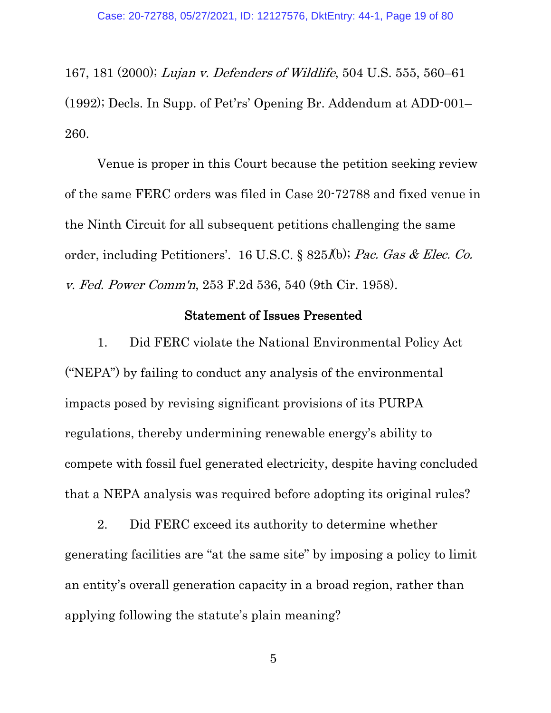<span id="page-18-1"></span>167, 181 (2000); Lujan v. Defenders of Wildlife, 504 U.S. 555, 560–61 (1992); Decls. In Supp. of Pet'rs' Opening Br. Addendum at ADD-001– 260.

Venue is proper in this Court because the petition seeking review of the same FERC orders was filed in Case 20-72788 and fixed venue in the Ninth Circuit for all subsequent petitions challenging the same order, including Petitioners'. 16 U.S.C. § 825*l*(b); Pac. Gas & Elec. Co. v. Fed. Power Comm'n, 253 F.2d 536, 540 (9th Cir. 1958).

#### <span id="page-18-3"></span><span id="page-18-2"></span>Statement of Issues Presented

<span id="page-18-0"></span>1. Did FERC violate the National Environmental Policy Act ("NEPA") by failing to conduct any analysis of the environmental impacts posed by revising significant provisions of its PURPA regulations, thereby undermining renewable energy's ability to compete with fossil fuel generated electricity, despite having concluded that a NEPA analysis was required before adopting its original rules?

2. Did FERC exceed its authority to determine whether generating facilities are "at the same site" by imposing a policy to limit an entity's overall generation capacity in a broad region, rather than applying following the statute's plain meaning?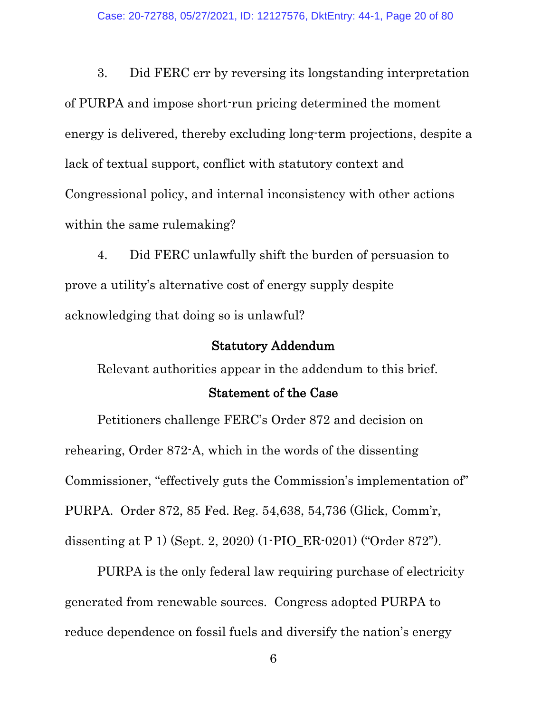3. Did FERC err by reversing its longstanding interpretation of PURPA and impose short-run pricing determined the moment energy is delivered, thereby excluding long-term projections, despite a lack of textual support, conflict with statutory context and Congressional policy, and internal inconsistency with other actions within the same rulemaking?

4. Did FERC unlawfully shift the burden of persuasion to prove a utility's alternative cost of energy supply despite acknowledging that doing so is unlawful?

#### Statutory Addendum

<span id="page-19-0"></span>Relevant authorities appear in the addendum to this brief.

#### <span id="page-19-2"></span>Statement of the Case

<span id="page-19-1"></span>Petitioners challenge FERC's Order 872 and decision on rehearing, Order 872-A, which in the words of the dissenting Commissioner, "effectively guts the Commission's implementation of" PURPA. Order 872, 85 Fed. Reg. 54,638, 54,736 (Glick, Comm'r, dissenting at P 1) (Sept. 2, 2020) (1-PIO\_ER-0201) ("Order 872").

PURPA is the only federal law requiring purchase of electricity generated from renewable sources. Congress adopted PURPA to reduce dependence on fossil fuels and diversify the nation's energy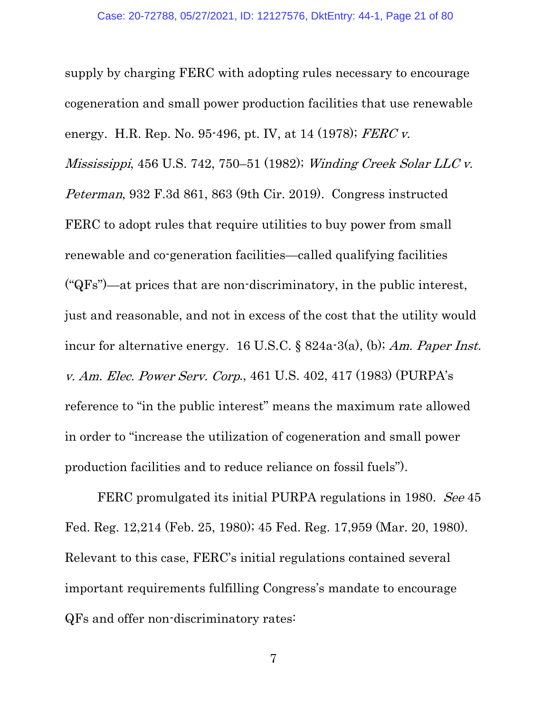<span id="page-20-5"></span><span id="page-20-2"></span><span id="page-20-1"></span>supply by charging FERC with adopting rules necessary to encourage cogeneration and small power production facilities that use renewable energy. H.R. Rep. No. 95-496, pt. IV, at 14 (1978); FERC v. Mississippi, 456 U.S. 742, 750–51 (1982); Winding Creek Solar LLC v. Peterman, 932 F.3d 861, 863 (9th Cir. 2019). Congress instructed FERC to adopt rules that require utilities to buy power from small renewable and co-generation facilities—called qualifying facilities ("QFs")—at prices that are non-discriminatory, in the public interest, just and reasonable, and not in excess of the cost that the utility would incur for alternative energy. 16 U.S.C. § 824a-3(a), (b); Am. Paper Inst. v. Am. Elec. Power Serv. Corp., 461 U.S. 402, 417 (1983) (PURPA's reference to "in the public interest" means the maximum rate allowed in order to "increase the utilization of cogeneration and small power production facilities and to reduce reliance on fossil fuels").

<span id="page-20-4"></span><span id="page-20-3"></span><span id="page-20-0"></span>FERC promulgated its initial PURPA regulations in 1980. See 45 Fed. Reg. 12,214 (Feb. 25, 1980); 45 Fed. Reg. 17,959 (Mar. 20, 1980). Relevant to this case, FERC's initial regulations contained several important requirements fulfilling Congress's mandate to encourage QFs and offer non-discriminatory rates: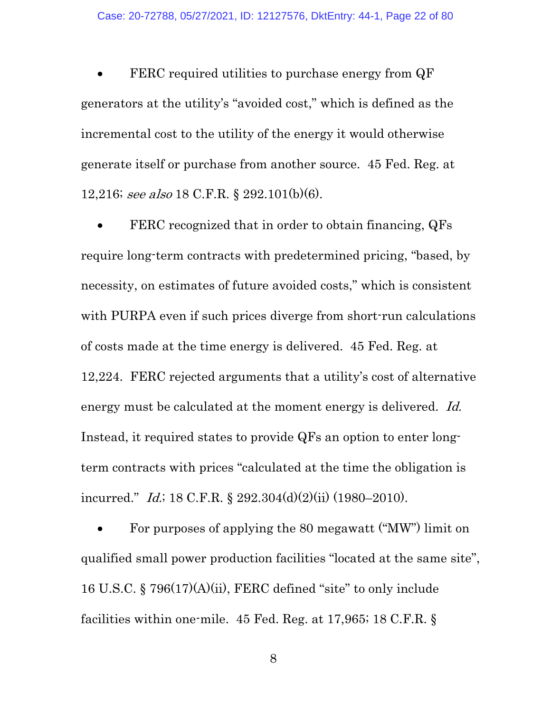FERC required utilities to purchase energy from QF generators at the utility's "avoided cost," which is defined as the incremental cost to the utility of the energy it would otherwise generate itself or purchase from another source. 45 Fed. Reg. at 12,216; see also 18 C.F.R. § 292.101(b)(6).

<span id="page-21-4"></span><span id="page-21-1"></span>FERC recognized that in order to obtain financing, QFs require long-term contracts with predetermined pricing, "based, by necessity, on estimates of future avoided costs," which is consistent with PURPA even if such prices diverge from short-run calculations of costs made at the time energy is delivered. 45 Fed. Reg. at 12,224. FERC rejected arguments that a utility's cost of alternative energy must be calculated at the moment energy is delivered. Id. Instead, it required states to provide QFs an option to enter longterm contracts with prices "calculated at the time the obligation is incurred." *Id.*; 18 C.F.R. § 292.304(d)(2)(ii) (1980–2010).

<span id="page-21-3"></span><span id="page-21-2"></span><span id="page-21-0"></span>• For purposes of applying the 80 megawatt ("MW") limit on qualified small power production facilities "located at the same site", 16 U.S.C. § 796(17)(A)(ii), FERC defined "site" to only include facilities within one-mile. 45 Fed. Reg. at 17,965; 18 C.F.R. §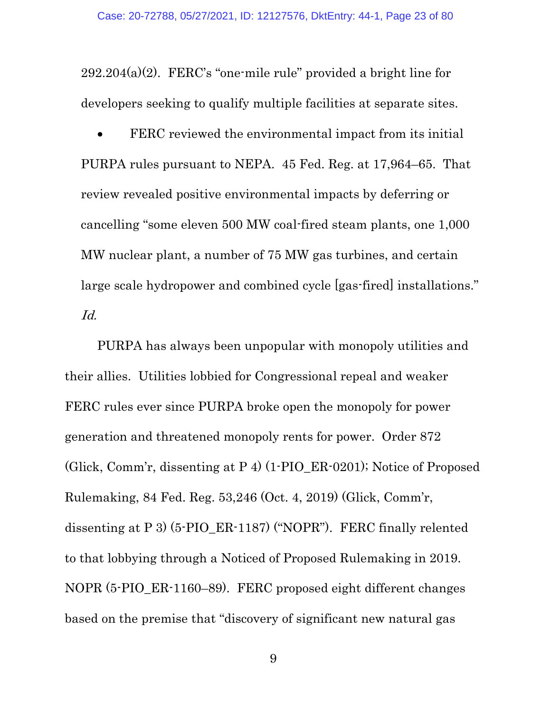$292.204(a)(2)$ . FERC's "one-mile rule" provided a bright line for developers seeking to qualify multiple facilities at separate sites.

FERC reviewed the environmental impact from its initial PURPA rules pursuant to NEPA. 45 Fed. Reg. at 17,964–65. That review revealed positive environmental impacts by deferring or cancelling "some eleven 500 MW coal-fired steam plants, one 1,000 MW nuclear plant, a number of 75 MW gas turbines, and certain large scale hydropower and combined cycle [gas-fired] installations." Id.

<span id="page-22-0"></span>PURPA has always been unpopular with monopoly utilities and their allies. Utilities lobbied for Congressional repeal and weaker FERC rules ever since PURPA broke open the monopoly for power generation and threatened monopoly rents for power. Order 872 (Glick, Comm'r, dissenting at P 4) (1-PIO\_ER-0201); Notice of Proposed Rulemaking, 84 Fed. Reg. 53,246 (Oct. 4, 2019) (Glick, Comm'r, dissenting at P 3) (5-PIO\_ER-1187) ("NOPR"). FERC finally relented to that lobbying through a Noticed of Proposed Rulemaking in 2019. NOPR (5-PIO\_ER-1160–89). FERC proposed eight different changes based on the premise that "discovery of significant new natural gas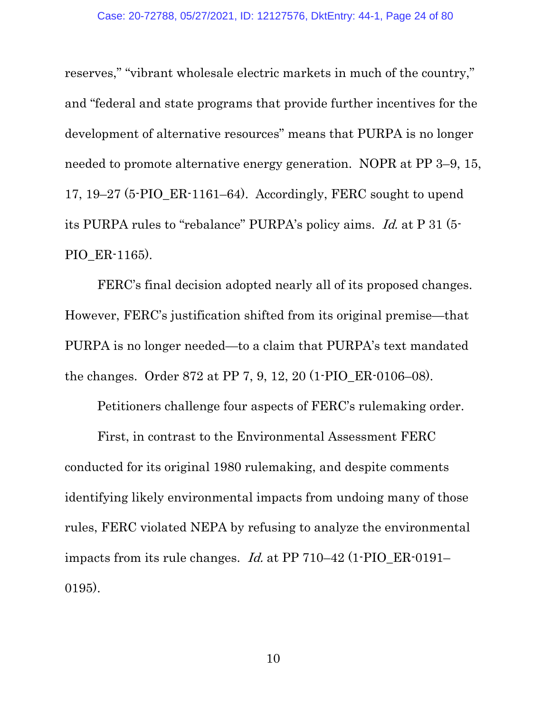<span id="page-23-0"></span>reserves," "vibrant wholesale electric markets in much of the country," and "federal and state programs that provide further incentives for the development of alternative resources" means that PURPA is no longer needed to promote alternative energy generation. NOPR at PP 3–9, 15, 17, 19–27 (5-PIO\_ER-1161–64). Accordingly, FERC sought to upend its PURPA rules to "rebalance" PURPA's policy aims. Id. at P 31 (5- PIO\_ER-1165).

FERC's final decision adopted nearly all of its proposed changes. However, FERC's justification shifted from its original premise—that PURPA is no longer needed—to a claim that PURPA's text mandated the changes. Order 872 at PP 7, 9, 12, 20 (1-PIO\_ER-0106–08).

Petitioners challenge four aspects of FERC's rulemaking order.

First, in contrast to the Environmental Assessment FERC conducted for its original 1980 rulemaking, and despite comments identifying likely environmental impacts from undoing many of those rules, FERC violated NEPA by refusing to analyze the environmental impacts from its rule changes. Id. at PP 710–42 (1-PIO\_ER-0191– 0195).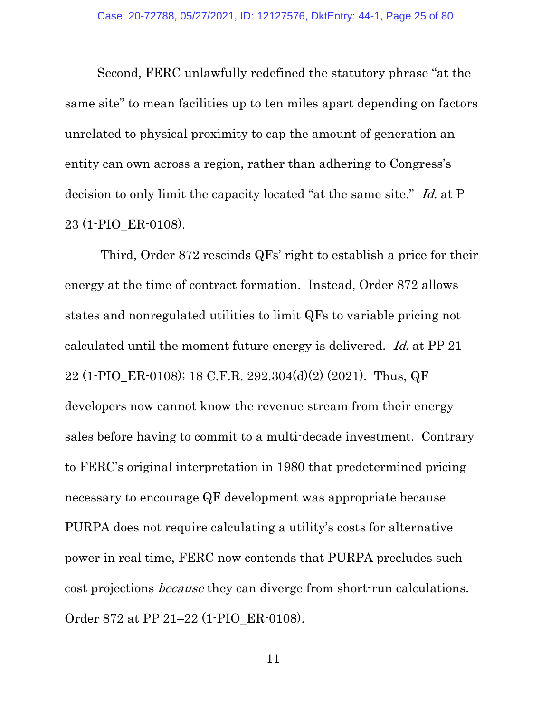Second, FERC unlawfully redefined the statutory phrase "at the same site" to mean facilities up to ten miles apart depending on factors unrelated to physical proximity to cap the amount of generation an entity can own across a region, rather than adhering to Congress's decision to only limit the capacity located "at the same site." Id. at P 23 (1-PIO\_ER-0108).

Third, Order 872 rescinds QFs' right to establish a price for their energy at the time of contract formation. Instead, Order 872 allows states and nonregulated utilities to limit QFs to variable pricing not calculated until the moment future energy is delivered. Id. at PP 21– 22 (1-PIO\_ER-0108); 18 C.F.R. 292.304(d)(2) (2021). Thus, QF developers now cannot know the revenue stream from their energy sales before having to commit to a multi-decade investment. Contrary to FERC's original interpretation in 1980 that predetermined pricing necessary to encourage QF development was appropriate because PURPA does not require calculating a utility's costs for alternative power in real time, FERC now contends that PURPA precludes such cost projections because they can diverge from short-run calculations. Order 872 at PP 21–22 (1-PIO\_ER-0108).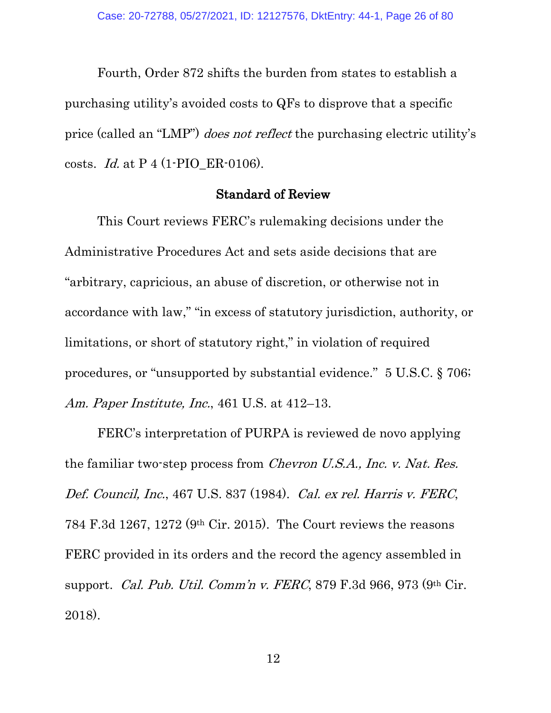Fourth, Order 872 shifts the burden from states to establish a purchasing utility's avoided costs to QFs to disprove that a specific price (called an "LMP") does not reflect the purchasing electric utility's costs. Id. at P 4 (1-PIO\_ER-0106).

## <span id="page-25-5"></span>Standard of Review

<span id="page-25-0"></span>This Court reviews FERC's rulemaking decisions under the Administrative Procedures Act and sets aside decisions that are "arbitrary, capricious, an abuse of discretion, or otherwise not in accordance with law," "in excess of statutory jurisdiction, authority, or limitations, or short of statutory right," in violation of required procedures, or "unsupported by substantial evidence." 5 U.S.C. § 706; Am. Paper Institute, Inc., 461 U.S. at 412–13.

<span id="page-25-4"></span><span id="page-25-3"></span><span id="page-25-2"></span><span id="page-25-1"></span>FERC's interpretation of PURPA is reviewed de novo applying the familiar two-step process from [Chevron U.S.A., Inc. v. Nat. Res.](https://1.next.westlaw.com/Link/Document/FullText?findType=Y&serNum=1984130736&pubNum=0000780&originatingDoc=I9a906c50a23611e8809390da5fe55bec&refType=RP&fi=co_pp_sp_780_842&originationContext=document&transitionType=DocumentItem&contextData=(sc.Folder*cid.ae96ed77aa8e4ee686ed3b5d72b4f759*oc.Clusters)#co_pp_sp_780_842)  Def. Council, Inc.[, 467 U.S. 837 \(1984\).](https://1.next.westlaw.com/Link/Document/FullText?findType=Y&serNum=1984130736&pubNum=0000780&originatingDoc=I9a906c50a23611e8809390da5fe55bec&refType=RP&fi=co_pp_sp_780_842&originationContext=document&transitionType=DocumentItem&contextData=(sc.Folder*cid.ae96ed77aa8e4ee686ed3b5d72b4f759*oc.Clusters)#co_pp_sp_780_842) Cal. ex rel. Harris v. FERC, 784 F.3d 1267, 1272 (9th Cir. 2015). The Court reviews the reasons FERC provided in its orders and the record the agency assembled in support. Cal. Pub. Util. Comm'n v. FERC, 879 F.3d 966, 973 (9th Cir. 2018).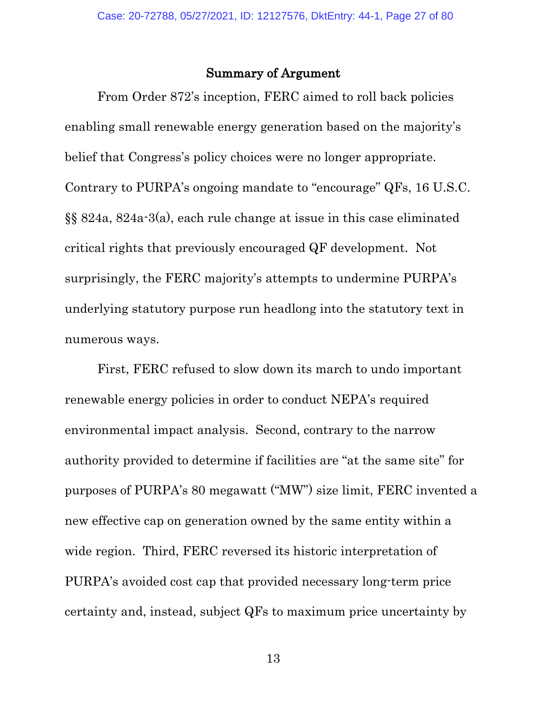### <span id="page-26-1"></span>Summary of Argument

<span id="page-26-0"></span>From Order 872's inception, FERC aimed to roll back policies enabling small renewable energy generation based on the majority's belief that Congress's policy choices were no longer appropriate. Contrary to PURPA's ongoing mandate to "encourage" QFs, 16 U.S.C. §§ 824a, 824a-3(a), each rule change at issue in this case eliminated critical rights that previously encouraged QF development. Not surprisingly, the FERC majority's attempts to undermine PURPA's underlying statutory purpose run headlong into the statutory text in numerous ways.

First, FERC refused to slow down its march to undo important renewable energy policies in order to conduct NEPA's required environmental impact analysis. Second, contrary to the narrow authority provided to determine if facilities are "at the same site" for purposes of PURPA's 80 megawatt ("MW") size limit, FERC invented a new effective cap on generation owned by the same entity within a wide region. Third, FERC reversed its historic interpretation of PURPA's avoided cost cap that provided necessary long-term price certainty and, instead, subject QFs to maximum price uncertainty by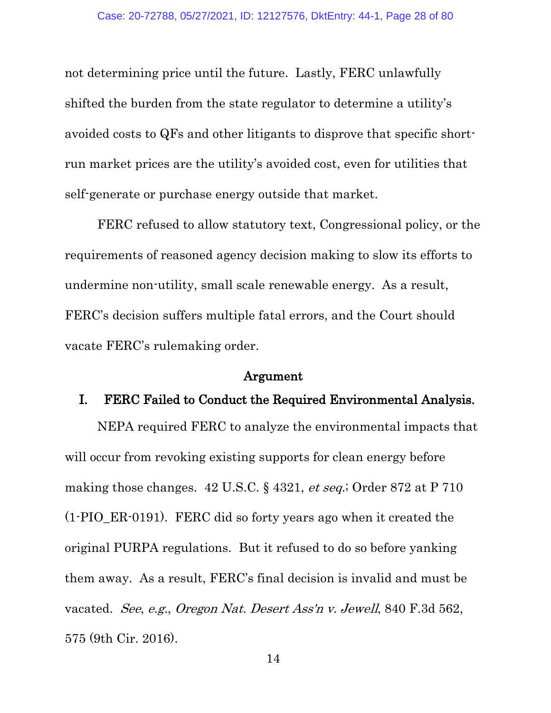not determining price until the future. Lastly, FERC unlawfully shifted the burden from the state regulator to determine a utility's avoided costs to QFs and other litigants to disprove that specific shortrun market prices are the utility's avoided cost, even for utilities that self-generate or purchase energy outside that market.

FERC refused to allow statutory text, Congressional policy, or the requirements of reasoned agency decision making to slow its efforts to undermine non-utility, small scale renewable energy. As a result, FERC's decision suffers multiple fatal errors, and the Court should vacate FERC's rulemaking order.

#### <span id="page-27-3"></span>Argument

#### <span id="page-27-1"></span><span id="page-27-0"></span>I. FERC Failed to Conduct the Required Environmental Analysis.

<span id="page-27-2"></span>NEPA required FERC to analyze the environmental impacts that will occur from revoking existing supports for clean energy before making those changes. 42 U.S.C. § 4321, *et seq.*; Order 872 at P 710 (1-PIO\_ER-0191). FERC did so forty years ago when it created the original PURPA regulations. But it refused to do so before yanking them away. As a result, FERC's final decision is invalid and must be vacated. See, e.g., Oregon Nat. Desert Ass'n v. Jewell, 840 F.3d 562, 575 (9th Cir. 2016).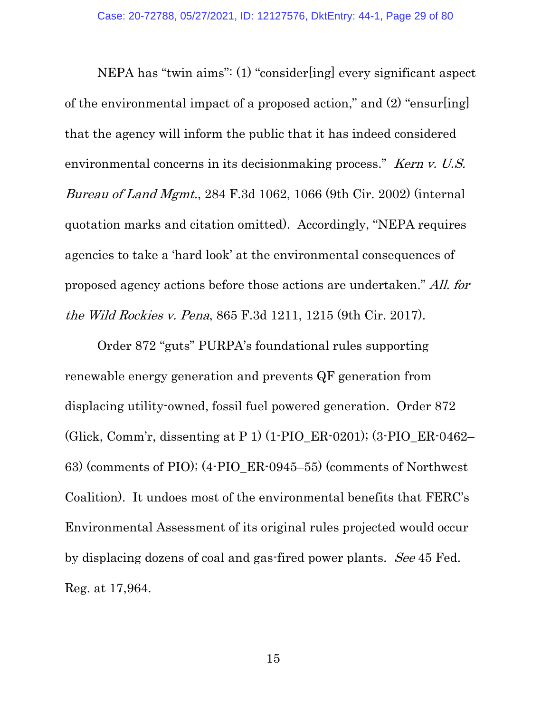<span id="page-28-1"></span>NEPA has "twin aims": (1) "consider[ing] every significant aspect of the environmental impact of a proposed action," and (2) "ensur[ing] that the agency will inform the public that it has indeed considered environmental concerns in its decision making process." Kern v. U.S. Bureau of Land Mgmt., 284 F.3d 1062, 1066 (9th Cir. 2002) (internal quotation marks and citation omitted). Accordingly, "NEPA requires agencies to take a 'hard look' at the environmental consequences of proposed agency actions before those actions are undertaken." All. for the Wild Rockies v. Pena, 865 F.3d 1211, 1215 (9th Cir. 2017).

<span id="page-28-0"></span>Order 872 "guts" PURPA's foundational rules supporting renewable energy generation and prevents QF generation from displacing utility-owned, fossil fuel powered generation. Order 872 (Glick, Comm'r, dissenting at P 1) (1-PIO\_ER-0201); (3-PIO\_ER-0462– 63) (comments of PIO); (4-PIO\_ER-0945–55) (comments of Northwest Coalition). It undoes most of the environmental benefits that FERC's Environmental Assessment of its original rules projected would occur by displacing dozens of coal and gas-fired power plants. See 45 Fed. Reg. at 17,964.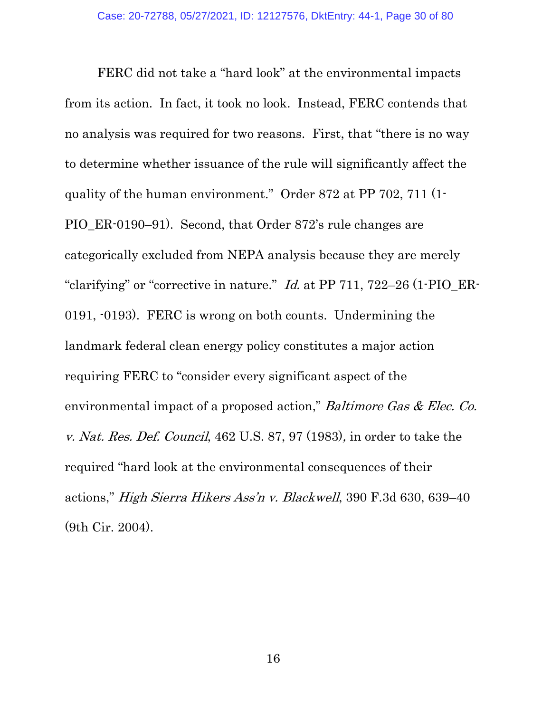<span id="page-29-1"></span><span id="page-29-0"></span>FERC did not take a "hard look" at the environmental impacts from its action. In fact, it took no look. Instead, FERC contends that no analysis was required for two reasons. First, that "there is no way to determine whether issuance of the rule will significantly affect the quality of the human environment." Order 872 at PP 702, 711 (1- PIO\_ER-0190–91). Second, that Order 872's rule changes are categorically excluded from NEPA analysis because they are merely "clarifying" or "corrective in nature."  $Id$  at PP 711, 722-26 (1-PIO\_ER-0191, -0193). FERC is wrong on both counts. Undermining the landmark federal clean energy policy constitutes a major action requiring FERC to "consider every significant aspect of the environmental impact of a proposed action," Baltimore Gas & Elec. Co. v. Nat. Res. Def. Council, 462 U.S. 87, 97 (1983), in order to take the required "hard look at the environmental consequences of their actions," High Sierra Hikers Ass'n v. Blackwell, 390 F.3d 630, 639–40 (9th Cir. 2004).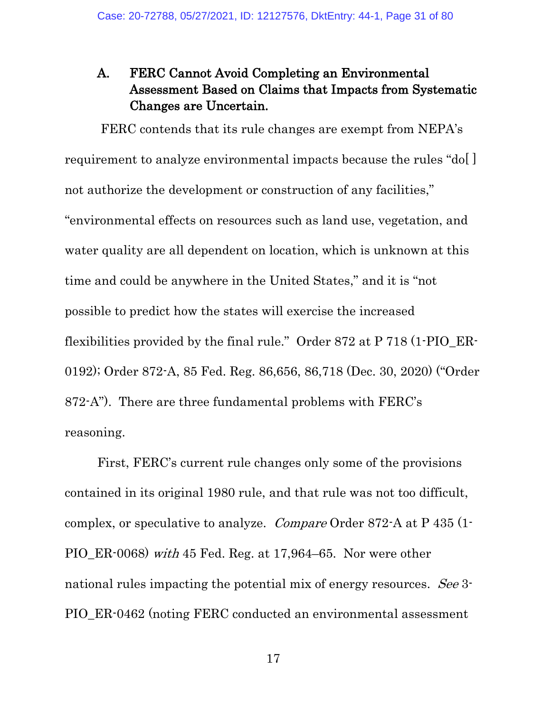## <span id="page-30-0"></span>A. FERC Cannot Avoid Completing an Environmental Assessment Based on Claims that Impacts from Systematic Changes are Uncertain.

FERC contends that its rule changes are exempt from NEPA's requirement to analyze environmental impacts because the rules "do[ ] not authorize the development or construction of any facilities," "environmental effects on resources such as land use, vegetation, and water quality are all dependent on location, which is unknown at this time and could be anywhere in the United States," and it is "not possible to predict how the states will exercise the increased flexibilities provided by the final rule." Order 872 at P 718 (1-PIO\_ER-0192); Order 872-A, 85 Fed. Reg. 86,656, 86,718 (Dec. 30, 2020) ("Order 872-A"). There are three fundamental problems with FERC's reasoning.

First, FERC's current rule changes only some of the provisions contained in its original 1980 rule, and that rule was not too difficult, complex, or speculative to analyze. Compare Order 872-A at P 435 (1- PIO\_ER-0068) with 45 Fed. Reg. at 17,964–65. Nor were other national rules impacting the potential mix of energy resources. See 3-PIO\_ER-0462 (noting FERC conducted an environmental assessment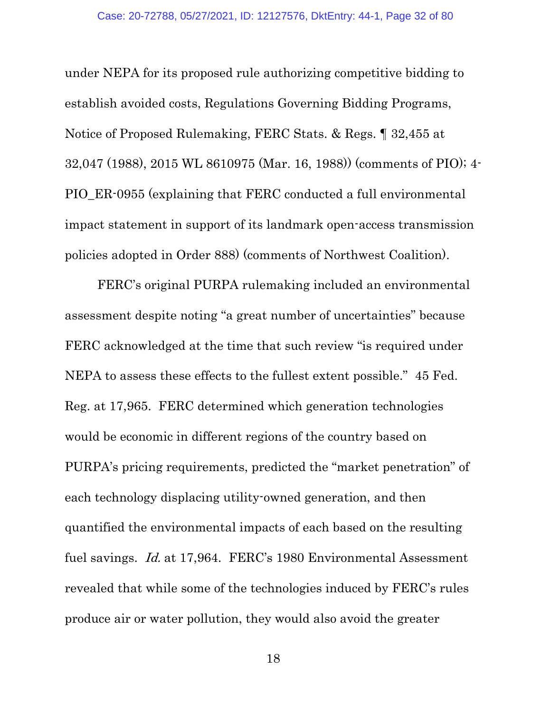under NEPA for its proposed rule authorizing competitive bidding to establish avoided costs, Regulations Governing Bidding Programs, Notice of Proposed Rulemaking, FERC Stats. & Regs. ¶ 32,455 at 32,047 (1988), 2015 WL 8610975 (Mar. 16, 1988)) (comments of PIO); 4- PIO\_ER-0955 (explaining that FERC conducted a full environmental impact statement in support of its landmark open-access transmission policies adopted in Order 888) (comments of Northwest Coalition).

FERC's original PURPA rulemaking included an environmental assessment despite noting "a great number of uncertainties" because FERC acknowledged at the time that such review "is required under NEPA to assess these effects to the fullest extent possible." 45 Fed. Reg. at 17,965. FERC determined which generation technologies would be economic in different regions of the country based on PURPA's pricing requirements, predicted the "market penetration" of each technology displacing utility-owned generation, and then quantified the environmental impacts of each based on the resulting fuel savings. Id. at 17,964. FERC's 1980 Environmental Assessment revealed that while some of the technologies induced by FERC's rules produce air or water pollution, they would also avoid the greater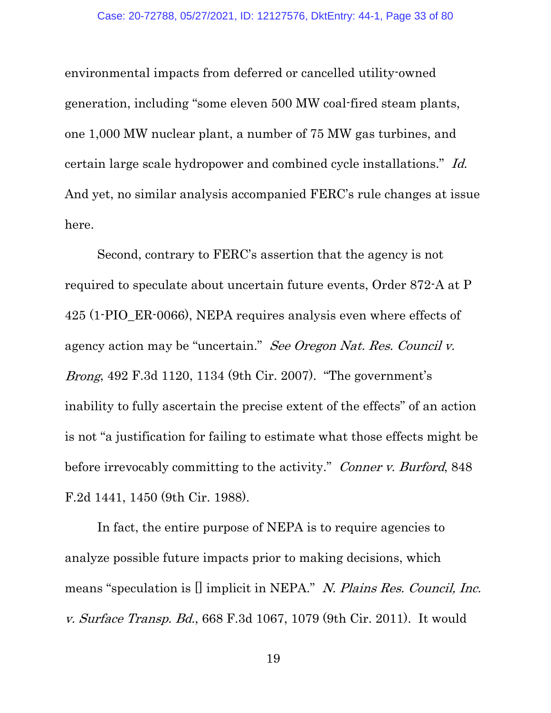environmental impacts from deferred or cancelled utility-owned generation, including "some eleven 500 MW coal-fired steam plants, one 1,000 MW nuclear plant, a number of 75 MW gas turbines, and certain large scale hydropower and combined cycle installations." Id. And yet, no similar analysis accompanied FERC's rule changes at issue here.

<span id="page-32-2"></span>Second, contrary to FERC's assertion that the agency is not required to speculate about uncertain future events, Order 872-A at P 425 (1-PIO\_ER-0066), NEPA requires analysis even where effects of agency action may be "uncertain." See Oregon Nat. Res. Council v. Brong, 492 F.3d 1120, 1134 (9th Cir. 2007). "The government's inability to fully ascertain the precise extent of the effects" of an action is not "a justification for failing to estimate what those effects might be before irrevocably committing to the activity." Conner v. Burford, 848 F.2d 1441, 1450 (9th Cir. 1988).

<span id="page-32-1"></span><span id="page-32-0"></span>In fact, the entire purpose of NEPA is to require agencies to analyze possible future impacts prior to making decisions, which means "speculation is [] implicit in NEPA." N. Plains Res. Council, Inc. v. Surface Transp. Bd., 668 F.3d 1067, 1079 (9th Cir. 2011). It would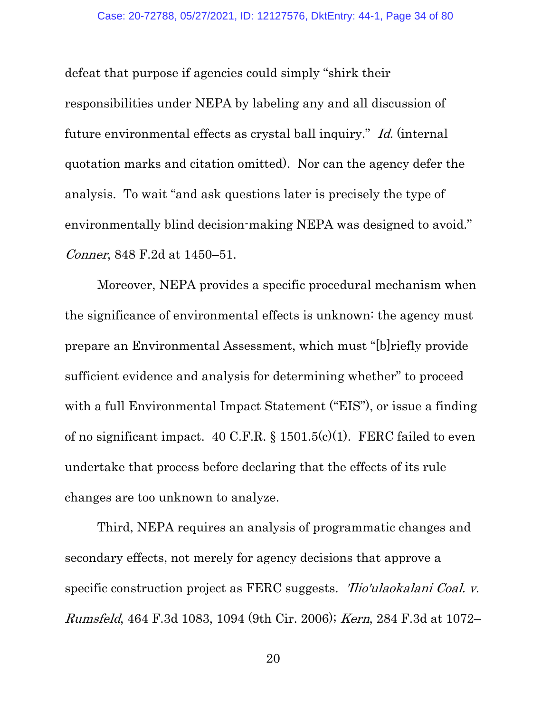<span id="page-33-3"></span>defeat that purpose if agencies could simply "shirk their responsibilities under NEPA by labeling any and all discussion of future environmental effects as crystal ball inquiry." Id. (internal quotation marks and citation omitted). Nor can the agency defer the analysis. To wait "and ask questions later is precisely the type of environmentally blind decision-making NEPA was designed to avoid." Conner, 848 F.2d at 1450–51.

<span id="page-33-1"></span>Moreover, NEPA provides a specific procedural mechanism when the significance of environmental effects is unknown: the agency must prepare an Environmental Assessment, which must "[b]riefly provide sufficient evidence and analysis for determining whether" to proceed with a full Environmental Impact Statement ("EIS"), or issue a finding of no significant impact. 40 C.F.R.  $\S$  1501.5(c)(1). FERC failed to even undertake that process before declaring that the effects of its rule changes are too unknown to analyze.

<span id="page-33-4"></span><span id="page-33-2"></span><span id="page-33-0"></span>Third, NEPA requires an analysis of programmatic changes and secondary effects, not merely for agency decisions that approve a specific construction project as FERC suggests. 'Ilio'ulaokalani Coal. v. Rumsfeld, 464 F.3d 1083, 1094 (9th Cir. 2006); Kern, 284 F.3d at 1072–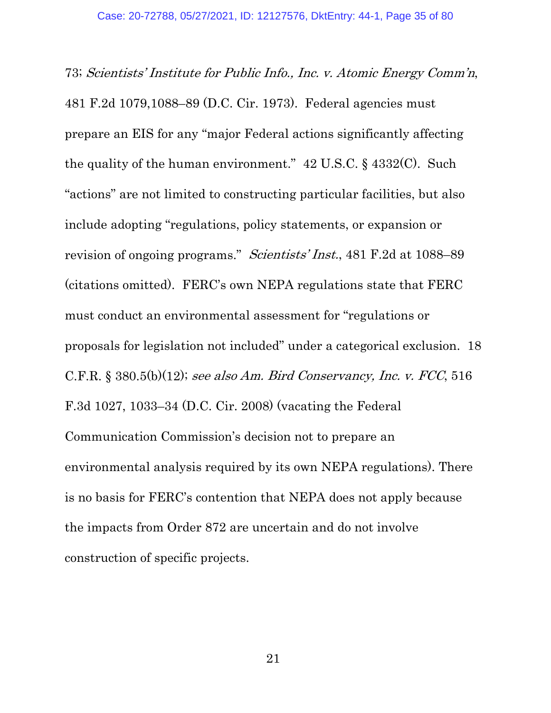<span id="page-34-3"></span><span id="page-34-2"></span><span id="page-34-1"></span><span id="page-34-0"></span>73; Scientists' Institute for Public Info., Inc. v. Atomic Energy Comm'n, 481 F.2d 1079,1088–89 (D.C. Cir. 1973). Federal agencies must prepare an EIS for any "major Federal actions significantly affecting the quality of the human environment." 42 U.S.C. § 4332(C). Such "actions" are not limited to constructing particular facilities, but also include adopting "regulations, policy statements, or expansion or revision of ongoing programs." Scientists' Inst., 481 F.2d at 1088–89 (citations omitted). FERC's own NEPA regulations state that FERC must conduct an environmental assessment for "regulations or proposals for legislation not included" under a categorical exclusion. 18 C.F.R. § 380.5(b)(12); see also Am. Bird Conservancy, Inc. v. FCC, 516 F.3d 1027, 1033–34 (D.C. Cir. 2008) (vacating the Federal Communication Commission's decision not to prepare an environmental analysis required by its own NEPA regulations). There is no basis for FERC's contention that NEPA does not apply because the impacts from Order 872 are uncertain and do not involve construction of specific projects.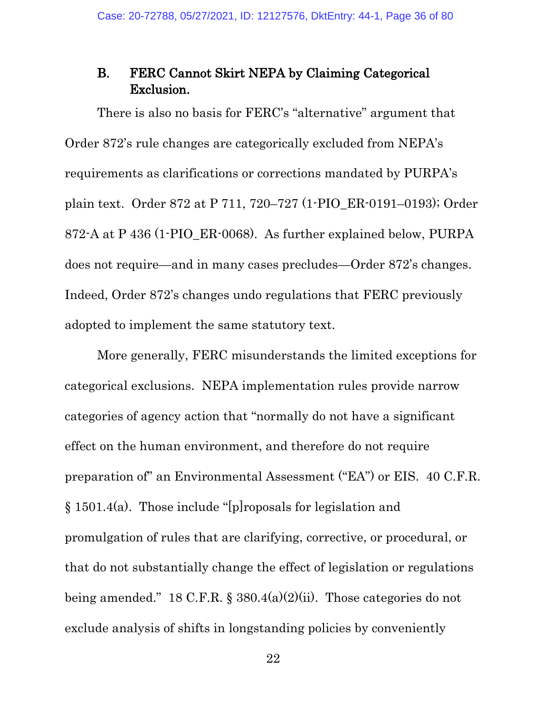## <span id="page-35-0"></span>B. FERC Cannot Skirt NEPA by Claiming Categorical Exclusion.

There is also no basis for FERC's "alternative" argument that Order 872's rule changes are categorically excluded from NEPA's requirements as clarifications or corrections mandated by PURPA's plain text. Order 872 at P 711, 720–727 (1-PIO\_ER-0191–0193); Order 872-A at P 436 (1-PIO\_ER-0068). As further explained below, PURPA does not require—and in many cases precludes—Order 872's changes. Indeed, Order 872's changes undo regulations that FERC previously adopted to implement the same statutory text.

<span id="page-35-2"></span><span id="page-35-1"></span>More generally, FERC misunderstands the limited exceptions for categorical exclusions. NEPA implementation rules provide narrow categories of agency action that "normally do not have a significant effect on the human environment, and therefore do not require preparation of" an Environmental Assessment ("EA") or EIS. 40 C.F.R. § 1501.4(a). Those include "[p]roposals for legislation and promulgation of rules that are clarifying, corrective, or procedural, or that do not substantially change the effect of legislation or regulations being amended." 18 C.F.R.  $\S$  380.4(a)(2)(ii). Those categories do not exclude analysis of shifts in longstanding policies by conveniently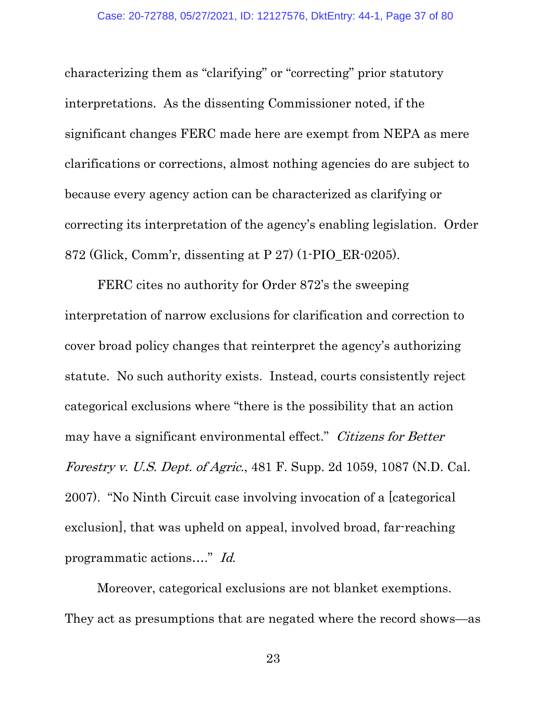characterizing them as "clarifying" or "correcting" prior statutory interpretations. As the dissenting Commissioner noted, if the significant changes FERC made here are exempt from NEPA as mere clarifications or corrections, almost nothing agencies do are subject to because every agency action can be characterized as clarifying or correcting its interpretation of the agency's enabling legislation. Order 872 (Glick, Comm'r, dissenting at P 27) (1-PIO\_ER-0205).

FERC cites no authority for Order 872's the sweeping interpretation of narrow exclusions for clarification and correction to cover broad policy changes that reinterpret the agency's authorizing statute. No such authority exists. Instead, courts consistently reject categorical exclusions where "there is the possibility that an action may have a significant environmental effect." Citizens for Better Forestry v. U.S. Dept. of Agric., 481 F. Supp. 2d 1059, 1087 (N.D. Cal. 2007). "No Ninth Circuit case involving invocation of a [categorical exclusion], that was upheld on appeal, involved broad, far-reaching programmatic actions…." Id.

Moreover, categorical exclusions are not blanket exemptions. They act as presumptions that are negated where the record shows—as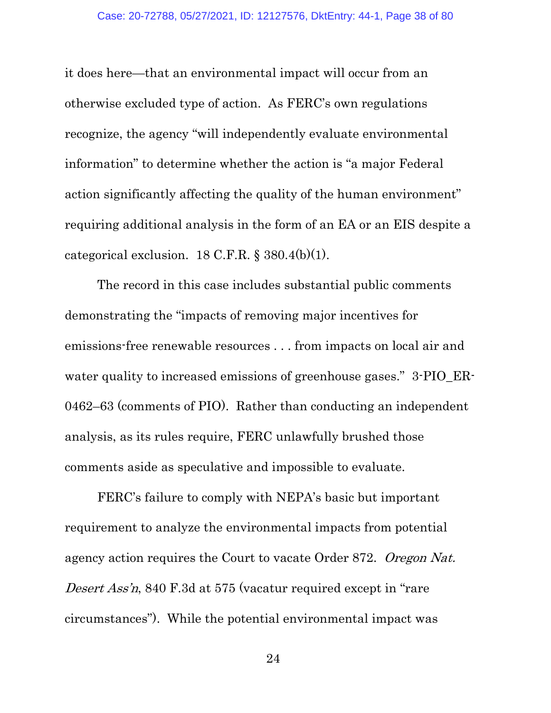it does here—that an environmental impact will occur from an otherwise excluded type of action. As FERC's own regulations recognize, the agency "will independently evaluate environmental information" to determine whether the action is "a major Federal action significantly affecting the quality of the human environment" requiring additional analysis in the form of an EA or an EIS despite a categorical exclusion. 18 C.F.R. § 380.4(b)(1).

The record in this case includes substantial public comments demonstrating the "impacts of removing major incentives for emissions-free renewable resources . . . from impacts on local air and water quality to increased emissions of greenhouse gases." 3-PIO\_ER-0462–63 (comments of PIO). Rather than conducting an independent analysis, as its rules require, FERC unlawfully brushed those comments aside as speculative and impossible to evaluate.

FERC's failure to comply with NEPA's basic but important requirement to analyze the environmental impacts from potential agency action requires the Court to vacate Order 872. Oregon Nat. Desert Ass'n, 840 F.3d at 575 (vacatur required except in "rare" circumstances"). While the potential environmental impact was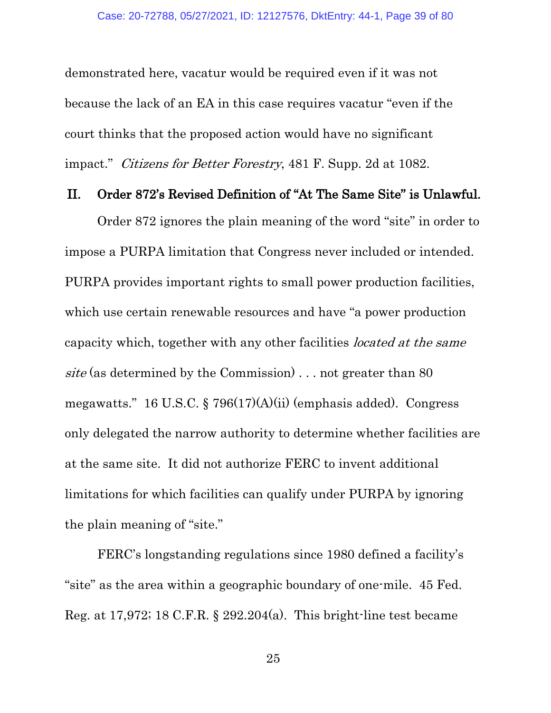demonstrated here, vacatur would be required even if it was not because the lack of an EA in this case requires vacatur "even if the court thinks that the proposed action would have no significant impact." Citizens for Better Forestry, 481 F. Supp. 2d at 1082.

#### II. Order 872's Revised Definition of "At The Same Site" is Unlawful.

Order 872 ignores the plain meaning of the word "site" in order to impose a PURPA limitation that Congress never included or intended. PURPA provides important rights to small power production facilities, which use certain renewable resources and have "a power production capacity which, together with any other facilities located at the same site (as determined by the Commission) . . . not greater than 80 megawatts." 16 U.S.C. § 796(17)(A)(ii) (emphasis added). Congress only delegated the narrow authority to determine whether facilities are at the same site. It did not authorize FERC to invent additional limitations for which facilities can qualify under PURPA by ignoring the plain meaning of "site."

FERC's longstanding regulations since 1980 defined a facility's "site" as the area within a geographic boundary of one-mile. 45 Fed. Reg. at 17,972; 18 C.F.R. § 292.204(a). This bright-line test became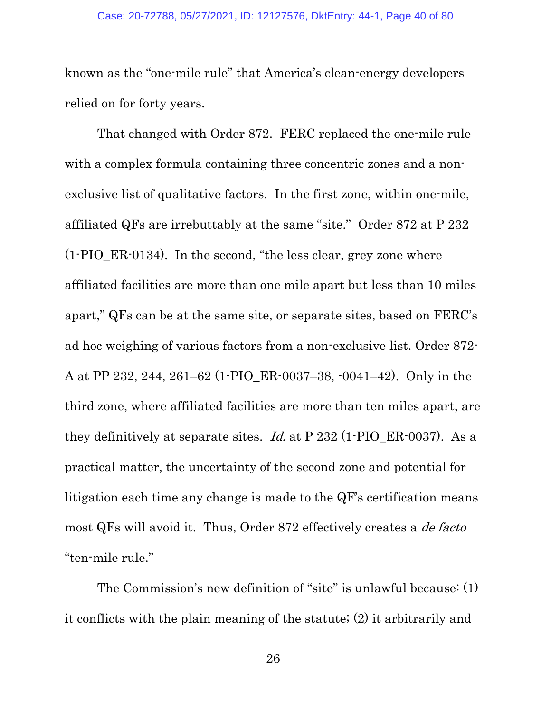known as the "one-mile rule" that America's clean-energy developers relied on for forty years.

That changed with Order 872. FERC replaced the one-mile rule with a complex formula containing three concentric zones and a nonexclusive list of qualitative factors. In the first zone, within one-mile, affiliated QFs are irrebuttably at the same "site." Order 872 at P 232 (1-PIO\_ER-0134). In the second, "the less clear, grey zone where affiliated facilities are more than one mile apart but less than 10 miles apart," QFs can be at the same site, or separate sites, based on FERC's ad hoc weighing of various factors from a non-exclusive list. Order 872- A at PP 232, 244, 261–62 (1-PIO\_ER-0037–38, -0041–42). Only in the third zone, where affiliated facilities are more than ten miles apart, are they definitively at separate sites. Id. at  $P$  232 (1-PIO\_ER-0037). As a practical matter, the uncertainty of the second zone and potential for litigation each time any change is made to the QF's certification means most QFs will avoid it. Thus, Order 872 effectively creates a de facto "ten-mile rule."

The Commission's new definition of "site" is unlawful because: (1) it conflicts with the plain meaning of the statute; (2) it arbitrarily and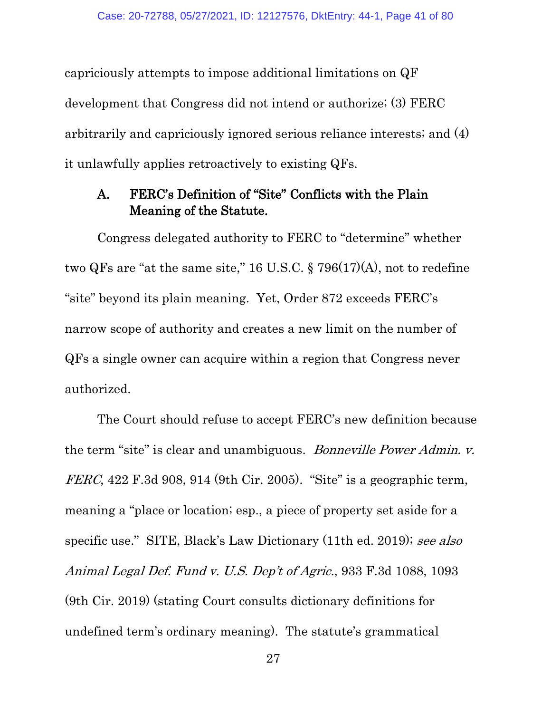capriciously attempts to impose additional limitations on QF development that Congress did not intend or authorize; (3) FERC arbitrarily and capriciously ignored serious reliance interests; and (4) it unlawfully applies retroactively to existing QFs.

# A. FERC's Definition of "Site" Conflicts with the Plain Meaning of the Statute.

Congress delegated authority to FERC to "determine" whether two QFs are "at the same site," 16 U.S.C. § 796(17)(A), not to redefine "site" beyond its plain meaning. Yet, Order 872 exceeds FERC's narrow scope of authority and creates a new limit on the number of QFs a single owner can acquire within a region that Congress never authorized.

The Court should refuse to accept FERC's new definition because the term "site" is clear and unambiguous. Bonneville Power Admin. v.  $FERC$ , 422 F.3d 908, 914 (9th Cir. 2005). "Site" is a geographic term, meaning a "place or location; esp., a piece of property set aside for a specific use." SITE, Black's Law Dictionary (11th ed. 2019); see also Animal Legal Def. Fund v. U.S. Dep't of Agric., 933 F.3d 1088, 1093 (9th Cir. 2019) (stating Court consults dictionary definitions for undefined term's ordinary meaning). The statute's grammatical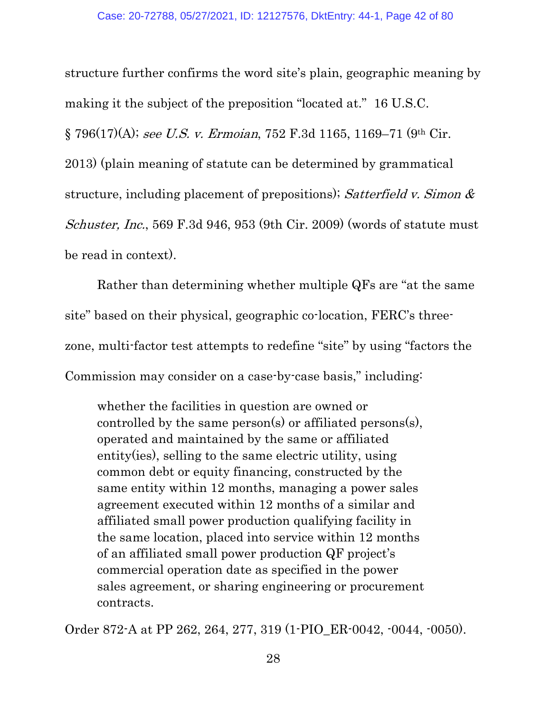structure further confirms the word site's plain, geographic meaning by making it the subject of the preposition "located at." 16 U.S.C. § 796(17)(A); see U.S. v. Ermoian, 752 F.3d 1165, 1169–71 (9th Cir. 2013) (plain meaning of statute can be determined by grammatical structure, including placement of prepositions); Satterfield v. Simon  $\&$ Schuster, Inc., 569 F.3d 946, 953 (9th Cir. 2009) (words of statute must be read in context).

Rather than determining whether multiple QFs are "at the same site" based on their physical, geographic co-location, FERC's threezone, multi-factor test attempts to redefine "site" by using "factors the Commission may consider on a case-by-case basis," including:

whether the facilities in question are owned or controlled by the same person(s) or affiliated persons(s), operated and maintained by the same or affiliated entity(ies), selling to the same electric utility, using common debt or equity financing, constructed by the same entity within 12 months, managing a power sales agreement executed within 12 months of a similar and affiliated small power production qualifying facility in the same location, placed into service within 12 months of an affiliated small power production QF project's commercial operation date as specified in the power sales agreement, or sharing engineering or procurement contracts.

Order 872-A at PP 262, 264, 277, 319 (1-PIO\_ER-0042, -0044, -0050).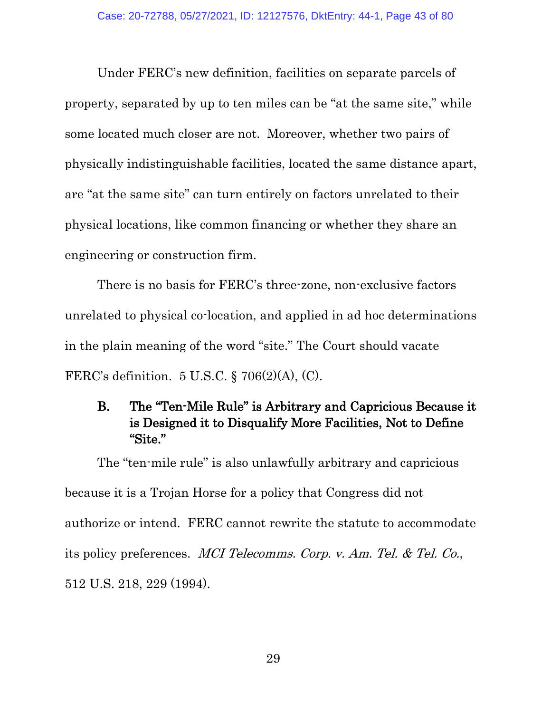Under FERC's new definition, facilities on separate parcels of property, separated by up to ten miles can be "at the same site," while some located much closer are not. Moreover, whether two pairs of physically indistinguishable facilities, located the same distance apart, are "at the same site" can turn entirely on factors unrelated to their physical locations, like common financing or whether they share an engineering or construction firm.

There is no basis for FERC's three-zone, non-exclusive factors unrelated to physical co-location, and applied in ad hoc determinations in the plain meaning of the word "site." The Court should vacate FERC's definition. 5 U.S.C. § 706(2)(A), (C).

# B. The "Ten-Mile Rule" is Arbitrary and Capricious Because it is Designed it to Disqualify More Facilities, Not to Define "Site."

The "ten-mile rule" is also unlawfully arbitrary and capricious because it is a Trojan Horse for a policy that Congress did not authorize or intend. FERC cannot rewrite the statute to accommodate its policy preferences. MCI Telecomms. Corp. v. Am. Tel. & Tel. Co., 512 U.S. 218, 229 (1994).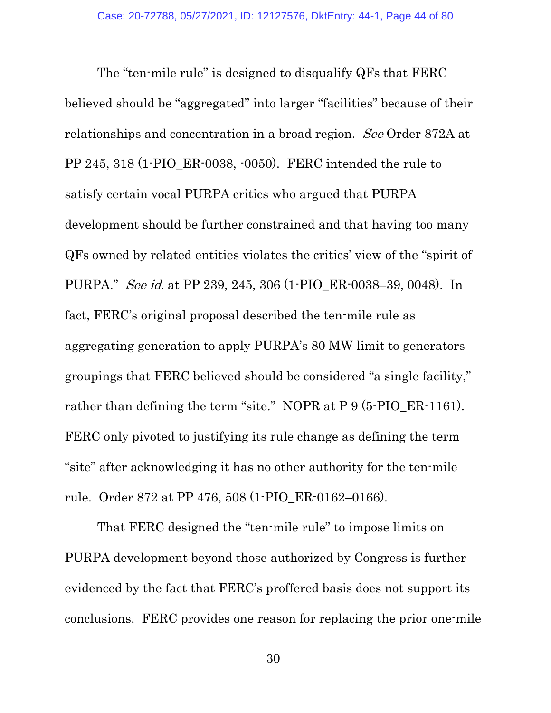The "ten-mile rule" is designed to disqualify QFs that FERC believed should be "aggregated" into larger "facilities" because of their relationships and concentration in a broad region. See Order 872A at PP 245, 318 (1-PIO\_ER-0038, -0050). FERC intended the rule to satisfy certain vocal PURPA critics who argued that PURPA development should be further constrained and that having too many QFs owned by related entities violates the critics' view of the "spirit of PURPA." See id. at PP 239, 245, 306 (1-PIO\_ER-0038–39, 0048). In fact, FERC's original proposal described the ten-mile rule as aggregating generation to apply PURPA's 80 MW limit to generators groupings that FERC believed should be considered "a single facility," rather than defining the term "site." NOPR at P 9 (5-PIO\_ER-1161). FERC only pivoted to justifying its rule change as defining the term "site" after acknowledging it has no other authority for the ten-mile rule. Order 872 at PP 476, 508 (1-PIO\_ER-0162–0166).

That FERC designed the "ten-mile rule" to impose limits on PURPA development beyond those authorized by Congress is further evidenced by the fact that FERC's proffered basis does not support its conclusions. FERC provides one reason for replacing the prior one-mile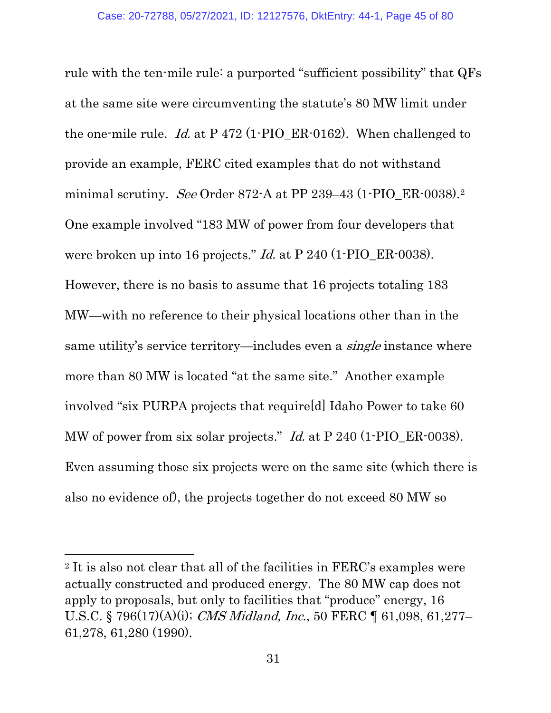rule with the ten-mile rule: a purported "sufficient possibility" that QFs at the same site were circumventing the statute's 80 MW limit under the one-mile rule. Id. at P 472 (1-PIO ER-0162). When challenged to provide an example, FERC cited examples that do not withstand minimal scrutiny. See Order 87[2](#page-44-0)-A at PP 239-43 (1-PIO ER-0038).<sup>2</sup> One example involved "183 MW of power from four developers that were broken up into 16 projects." *Id.* at P 240 (1-PIO\_ER-0038). However, there is no basis to assume that 16 projects totaling 183 MW—with no reference to their physical locations other than in the same utility's service territory—includes even a *single* instance where more than 80 MW is located "at the same site." Another example involved "six PURPA projects that require[d] Idaho Power to take 60 MW of power from six solar projects." *Id.* at P 240 (1-PIO\_ER-0038). Even assuming those six projects were on the same site (which there is also no evidence of), the projects together do not exceed 80 MW so

<span id="page-44-0"></span><sup>2</sup> It is also not clear that all of the facilities in FERC's examples were actually constructed and produced energy. The 80 MW cap does not apply to proposals, but only to facilities that "produce" energy, 16 U.S.C. § 796(17)(A)(i); CMS Midland, Inc., 50 FERC ¶ 61,098, 61,277– 61,278, 61,280 (1990).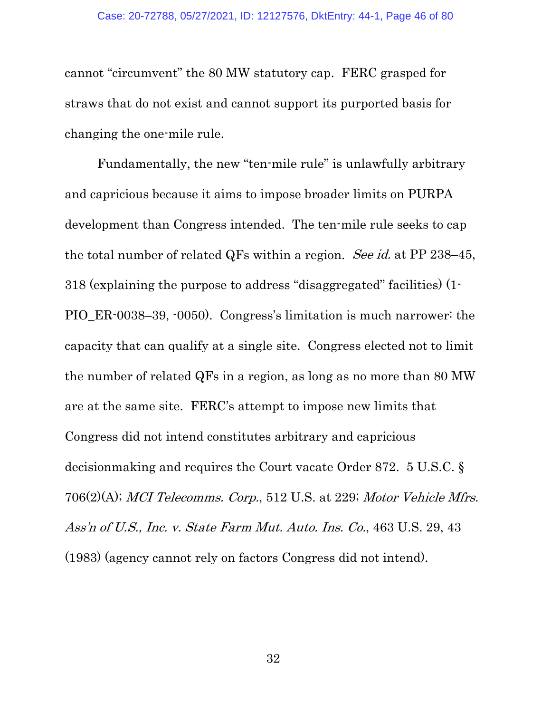cannot "circumvent" the 80 MW statutory cap. FERC grasped for straws that do not exist and cannot support its purported basis for changing the one-mile rule.

Fundamentally, the new "ten-mile rule" is unlawfully arbitrary and capricious because it aims to impose broader limits on PURPA development than Congress intended. The ten-mile rule seeks to cap the total number of related QFs within a region. See id. at PP 238-45, 318 (explaining the purpose to address "disaggregated" facilities) (1- PIO\_ER-0038–39, -0050). Congress's limitation is much narrower: the capacity that can qualify at a single site. Congress elected not to limit the number of related QFs in a region, as long as no more than 80 MW are at the same site. FERC's attempt to impose new limits that Congress did not intend constitutes arbitrary and capricious decisionmaking and requires the Court vacate Order 872. 5 U.S.C. § 706(2)(A); MCI Telecomms. Corp., 512 U.S. at 229; Motor Vehicle Mfrs. Ass'n of U.S., Inc. v. State Farm Mut. Auto. Ins. Co., 463 U.S. 29, 43 (1983) (agency cannot rely on factors Congress did not intend).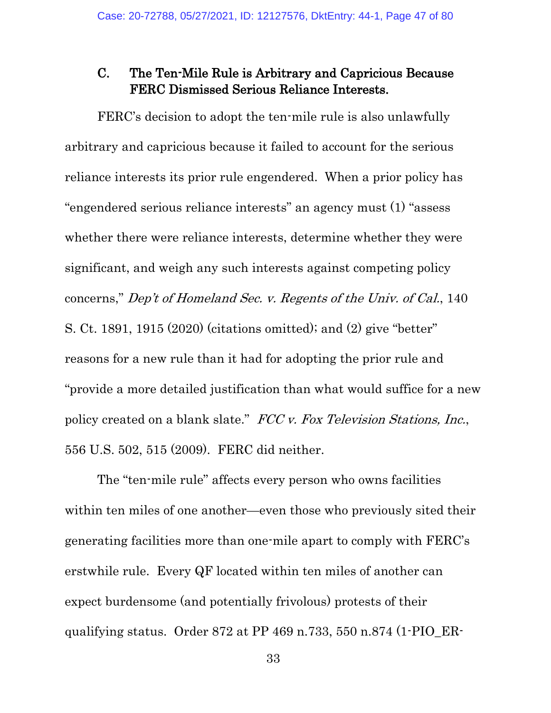## C. The Ten-Mile Rule is Arbitrary and Capricious Because FERC Dismissed Serious Reliance Interests.

FERC's decision to adopt the ten-mile rule is also unlawfully arbitrary and capricious because it failed to account for the serious reliance interests its prior rule engendered. When a prior policy has "engendered serious reliance interests" an agency must (1) "assess whether there were reliance interests, determine whether they were significant, and weigh any such interests against competing policy concerns," Dep't of Homeland Sec. v. Regents of the Univ. of Cal., 140 S. Ct. 1891, 1915 (2020) (citations omitted); and (2) give "better" reasons for a new rule than it had for adopting the prior rule and "provide a more detailed justification than what would suffice for a new policy created on a blank slate." FCC v. Fox Television Stations, Inc., 556 U.S. 502, 515 (2009). FERC did neither.

The "ten-mile rule" affects every person who owns facilities within ten miles of one another—even those who previously sited their generating facilities more than one-mile apart to comply with FERC's erstwhile rule. Every QF located within ten miles of another can expect burdensome (and potentially frivolous) protests of their qualifying status. Order 872 at PP 469 n.733, 550 n.874 (1-PIO\_ER-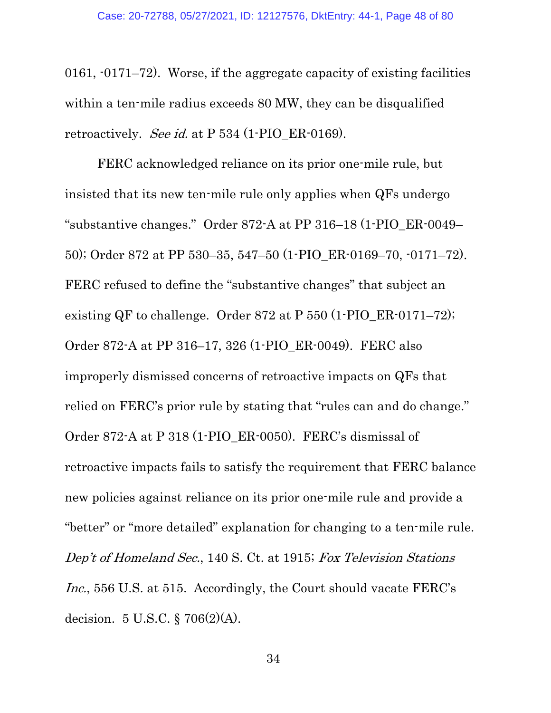0161, -0171–72). Worse, if the aggregate capacity of existing facilities within a ten-mile radius exceeds 80 MW, they can be disqualified retroactively. See id. at  $P$  534 (1-PIO\_ER-0169).

FERC acknowledged reliance on its prior one-mile rule, but insisted that its new ten-mile rule only applies when QFs undergo "substantive changes." Order 872-A at PP 316–18 (1-PIO\_ER-0049– 50); Order 872 at PP 530–35, 547–50 (1-PIO\_ER-0169–70, -0171–72). FERC refused to define the "substantive changes" that subject an existing QF to challenge. Order 872 at P 550 (1-PIO\_ER-0171–72); Order 872-A at PP 316–17, 326 (1-PIO\_ER-0049). FERC also improperly dismissed concerns of retroactive impacts on QFs that relied on FERC's prior rule by stating that "rules can and do change." Order 872-A at P 318 (1-PIO\_ER-0050). FERC's dismissal of retroactive impacts fails to satisfy the requirement that FERC balance new policies against reliance on its prior one-mile rule and provide a "better" or "more detailed" explanation for changing to a ten-mile rule. Dep't of Homeland Sec., 140 S. Ct. at 1915; Fox Television Stations Inc., 556 U.S. at 515. Accordingly, the Court should vacate FERC's decision. 5 U.S.C. § 706(2)(A).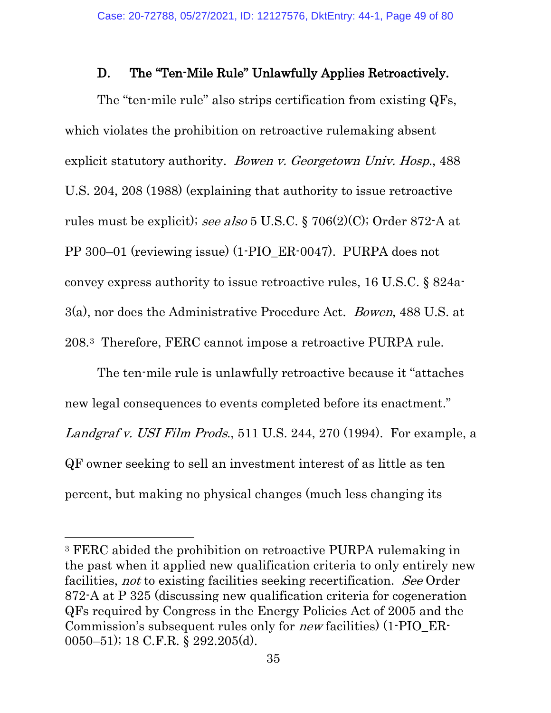## D. The "Ten-Mile Rule" Unlawfully Applies Retroactively.

The "ten-mile rule" also strips certification from existing QFs, which violates the prohibition on retroactive rulemaking absent explicit statutory authority. Bowen v. Georgetown Univ. Hosp., 488 U.S. 204, 208 (1988) (explaining that authority to issue retroactive rules must be explicit); see also 5 U.S.C. § 706(2)(C); Order 872-A at PP 300–01 (reviewing issue) (1-PIO\_ER-0047). PURPA does not convey express authority to issue retroactive rules, 16 U.S.C. § 824a-3(a), nor does the Administrative Procedure Act. Bowen, 488 U.S. at 208.[3](#page-48-0) Therefore, FERC cannot impose a retroactive PURPA rule.

The ten-mile rule is unlawfully retroactive because it "attaches new legal consequences to events completed before its enactment." Landgraf v. USI Film Prods., 511 U.S. 244, 270 (1994). For example, a QF owner seeking to sell an investment interest of as little as ten percent, but making no physical changes (much less changing its

<span id="page-48-0"></span><sup>3</sup> FERC abided the prohibition on retroactive PURPA rulemaking in the past when it applied new qualification criteria to only entirely new facilities, not to existing facilities seeking recertification. See Order 872-A at P 325 (discussing new qualification criteria for cogeneration QFs required by Congress in the Energy Policies Act of 2005 and the Commission's subsequent rules only for new facilities) (1-PIO\_ER-0050–51); 18 C.F.R. § 292.205(d).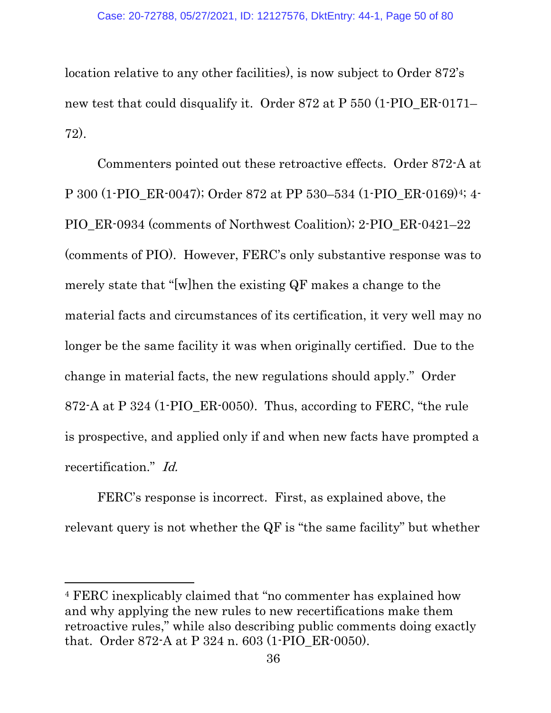location relative to any other facilities), is now subject to Order 872's new test that could disqualify it. Order 872 at P 550 (1-PIO\_ER-0171– 72).

Commenters pointed out these retroactive effects. Order 872-A at P 300 (1-PIO\_ER-0047); Order 872 at PP 530–534 (1-PIO\_ER-0169)[4;](#page-49-0) 4- PIO\_ER-0934 (comments of Northwest Coalition); 2-PIO\_ER-0421–22 (comments of PIO). However, FERC's only substantive response was to merely state that "[w]hen the existing QF makes a change to the material facts and circumstances of its certification, it very well may no longer be the same facility it was when originally certified. Due to the change in material facts, the new regulations should apply." Order 872-A at P 324 (1-PIO  $ER-0050$ ). Thus, according to FERC, "the rule is prospective, and applied only if and when new facts have prompted a recertification." Id.

FERC's response is incorrect. First, as explained above, the relevant query is not whether the QF is "the same facility" but whether

<span id="page-49-0"></span><sup>4</sup> FERC inexplicably claimed that "no commenter has explained how and why applying the new rules to new recertifications make them retroactive rules," while also describing public comments doing exactly that. Order 872-A at P 324 n. 603 (1-PIO\_ER-0050).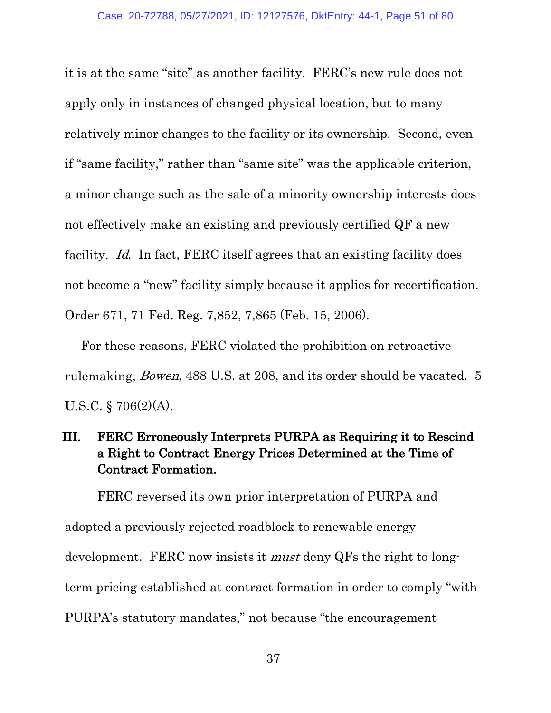it is at the same "site" as another facility. FERC's new rule does not apply only in instances of changed physical location, but to many relatively minor changes to the facility or its ownership. Second, even if "same facility," rather than "same site" was the applicable criterion, a minor change such as the sale of a minority ownership interests does not effectively make an existing and previously certified QF a new facility. Id. In fact, FERC itself agrees that an existing facility does not become a "new" facility simply because it applies for recertification. Order 671, 71 Fed. Reg. 7,852, 7,865 (Feb. 15, 2006).

For these reasons, FERC violated the prohibition on retroactive rulemaking, Bowen, 488 U.S. at 208, and its order should be vacated. 5 U.S.C. § 706(2)(A).

# III. FERC Erroneously Interprets PURPA as Requiring it to Rescind a Right to Contract Energy Prices Determined at the Time of Contract Formation.

 FERC reversed its own prior interpretation of PURPA and adopted a previously rejected roadblock to renewable energy development. FERC now insists it *must* deny QFs the right to longterm pricing established at contract formation in order to comply "with PURPA's statutory mandates," not because "the encouragement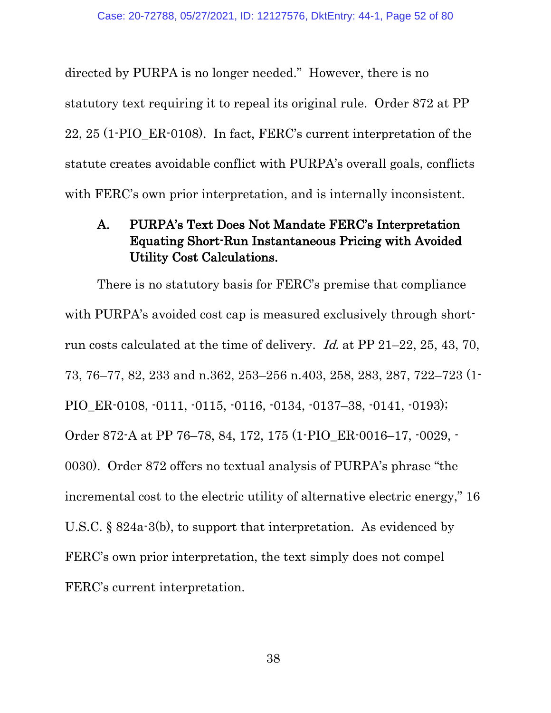directed by PURPA is no longer needed." However, there is no statutory text requiring it to repeal its original rule. Order 872 at PP 22, 25 (1-PIO\_ER-0108). In fact, FERC's current interpretation of the statute creates avoidable conflict with PURPA's overall goals, conflicts with FERC's own prior interpretation, and is internally inconsistent.

# A. PURPA's Text Does Not Mandate FERC's Interpretation Equating Short-Run Instantaneous Pricing with Avoided Utility Cost Calculations.

There is no statutory basis for FERC's premise that compliance with PURPA's avoided cost cap is measured exclusively through shortrun costs calculated at the time of delivery. Id. at PP 21–22, 25, 43, 70, 73, 76–77, 82, 233 and n.362, 253–256 n.403, 258, 283, 287, 722–723 (1- PIO\_ER-0108, -0111, -0115, -0116, -0134, -0137–38, -0141, -0193); Order 872-A at PP 76–78, 84, 172, 175 (1-PIO\_ER-0016–17, -0029, - 0030). Order 872 offers no textual analysis of PURPA's phrase "the incremental cost to the electric utility of alternative electric energy," 16 U.S.C. § 824a-3(b), to support that interpretation. As evidenced by FERC's own prior interpretation, the text simply does not compel FERC's current interpretation.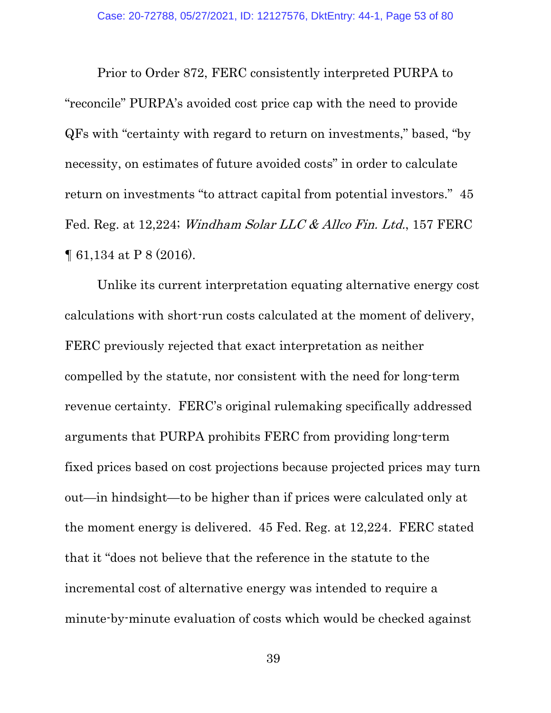Prior to Order 872, FERC consistently interpreted PURPA to "reconcile" PURPA's avoided cost price cap with the need to provide QFs with "certainty with regard to return on investments," based, "by necessity, on estimates of future avoided costs" in order to calculate return on investments "to attract capital from potential investors." 45 Fed. Reg. at 12,224; Windham Solar LLC & Allco Fin. Ltd., 157 FERC ¶ 61,134 at P 8 (2016).

Unlike its current interpretation equating alternative energy cost calculations with short-run costs calculated at the moment of delivery, FERC previously rejected that exact interpretation as neither compelled by the statute, nor consistent with the need for long-term revenue certainty. FERC's original rulemaking specifically addressed arguments that PURPA prohibits FERC from providing long-term fixed prices based on cost projections because projected prices may turn out—in hindsight—to be higher than if prices were calculated only at the moment energy is delivered. 45 Fed. Reg. at 12,224. FERC stated that it "does not believe that the reference in the statute to the incremental cost of alternative energy was intended to require a minute-by-minute evaluation of costs which would be checked against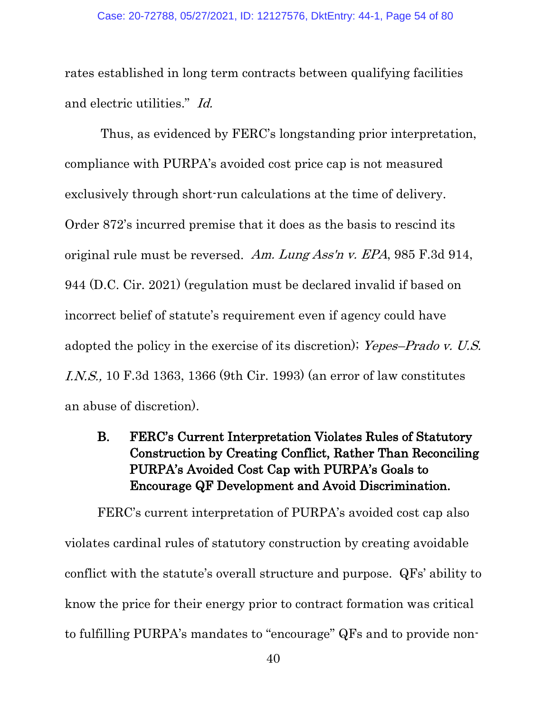rates established in long term contracts between qualifying facilities and electric utilities." Id.

Thus, as evidenced by FERC's longstanding prior interpretation, compliance with PURPA's avoided cost price cap is not measured exclusively through short-run calculations at the time of delivery. Order 872's incurred premise that it does as the basis to rescind its original rule must be reversed. Am. Lung Ass'n v. EPA, 985 F.3d 914, 944 (D.C. Cir. 2021) (regulation must be declared invalid if based on incorrect belief of statute's requirement even if agency could have adopted the policy in the exercise of its discretion); [Yepes–Prado v. U.S.](https://1.next.westlaw.com/Link/Document/FullText?findType=Y&serNum=1993194193&pubNum=0000506&originatingDoc=Id3e615dfa8e711e39ac8bab74931929c&refType=RP&fi=co_pp_sp_506_1366&originationContext=document&transitionType=DocumentItem&contextData=(sc.Keycite)#co_pp_sp_506_1366)  I.N.S., [10 F.3d 1363, 1366 \(9th Cir.](https://1.next.westlaw.com/Link/Document/FullText?findType=Y&serNum=1993194193&pubNum=0000506&originatingDoc=Id3e615dfa8e711e39ac8bab74931929c&refType=RP&fi=co_pp_sp_506_1366&originationContext=document&transitionType=DocumentItem&contextData=(sc.Keycite)#co_pp_sp_506_1366) 1993) (an error of law constitutes an abuse of discretion).

B. FERC's Current Interpretation Violates Rules of Statutory Construction by Creating Conflict, Rather Than Reconciling PURPA's Avoided Cost Cap with PURPA's Goals to Encourage QF Development and Avoid Discrimination.

FERC's current interpretation of PURPA's avoided cost cap also violates cardinal rules of statutory construction by creating avoidable conflict with the statute's overall structure and purpose. QFs' ability to know the price for their energy prior to contract formation was critical to fulfilling PURPA's mandates to "encourage" QFs and to provide non-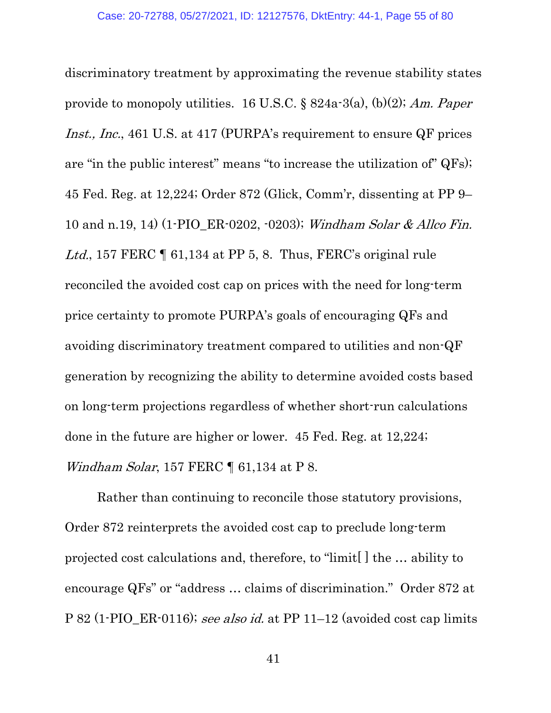discriminatory treatment by approximating the revenue stability states provide to monopoly utilities. 16 U.S.C.  $\S$  824a-3(a), (b)(2); Am. Paper Inst., Inc., 461 U.S. at 417 (PURPA's requirement to ensure QF prices are "in the public interest" means "to increase the utilization of" QFs); 45 Fed. Reg. at 12,224; Order 872 (Glick, Comm'r, dissenting at PP 9– 10 and n.19, 14) (1-PIO\_ER-0202, -0203); Windham Solar & Allco Fin. Ltd., 157 FERC  $\P$  61,134 at PP 5, 8. Thus, FERC's original rule reconciled the avoided cost cap on prices with the need for long-term price certainty to promote PURPA's goals of encouraging QFs and avoiding discriminatory treatment compared to utilities and non-QF generation by recognizing the ability to determine avoided costs based on long-term projections regardless of whether short-run calculations done in the future are higher or lower. 45 Fed. Reg. at 12,224; Windham Solar, 157 FERC ¶ 61,134 at P 8.

Rather than continuing to reconcile those statutory provisions, Order 872 reinterprets the avoided cost cap to preclude long-term projected cost calculations and, therefore, to "limit[ ] the … ability to encourage QFs" or "address … claims of discrimination." Order 872 at P 82 (1-PIO\_ER-0116); see also id. at PP 11–12 (avoided cost cap limits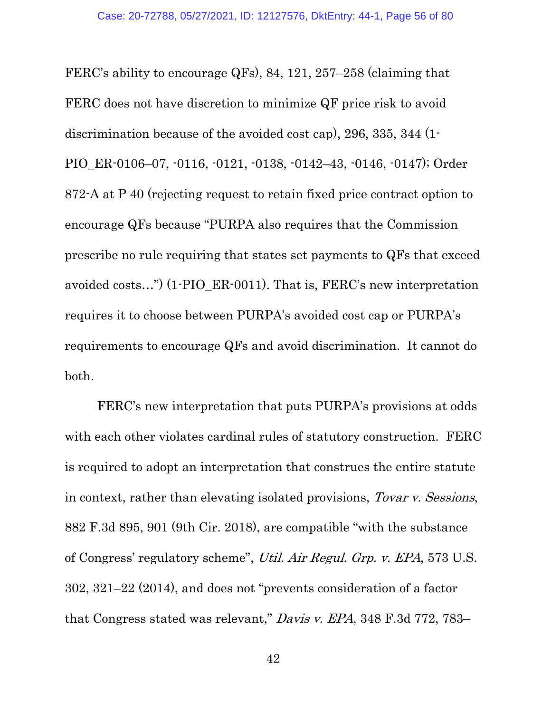FERC's ability to encourage QFs), 84, 121, 257–258 (claiming that FERC does not have discretion to minimize QF price risk to avoid discrimination because of the avoided cost cap), 296, 335, 344 (1- PIO\_ER-0106–07, -0116, -0121, -0138, -0142–43, -0146, -0147); Order 872-A at P 40 (rejecting request to retain fixed price contract option to encourage QFs because "PURPA also requires that the Commission prescribe no rule requiring that states set payments to QFs that exceed avoided costs…") (1-PIO\_ER-0011). That is, FERC's new interpretation requires it to choose between PURPA's avoided cost cap or PURPA's requirements to encourage QFs and avoid discrimination. It cannot do both.

FERC's new interpretation that puts PURPA's provisions at odds with each other violates cardinal rules of statutory construction. FERC is required to adopt an interpretation that construes the entire statute in context, rather than elevating isolated provisions, Tovar v. Sessions, 882 F.3d 895, 901 (9th Cir. 2018), are compatible "with the substance of Congress' regulatory scheme", Util. Air Regul. Grp. v. EPA, 573 U.S. 302, 321–22 (2014), and does not "prevents consideration of a factor that Congress stated was relevant," Davis v. EPA, 348 F.3d 772, 783–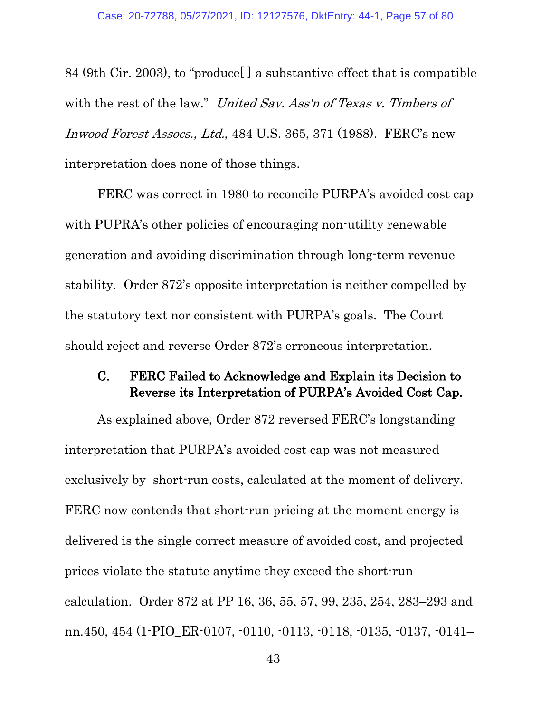84 (9th Cir. 2003), to "produce[ ] a substantive effect that is compatible with the rest of the law." *United Sav. Ass'n of Texas v. Timbers of* Inwood Forest Assocs., Ltd., 484 U.S. 365, 371 (1988). FERC's new interpretation does none of those things.

FERC was correct in 1980 to reconcile PURPA's avoided cost cap with PUPRA's other policies of encouraging non-utility renewable generation and avoiding discrimination through long-term revenue stability. Order 872's opposite interpretation is neither compelled by the statutory text nor consistent with PURPA's goals. The Court should reject and reverse Order 872's erroneous interpretation.

# C. FERC Failed to Acknowledge and Explain its Decision to Reverse its Interpretation of PURPA's Avoided Cost Cap.

As explained above, Order 872 reversed FERC's longstanding interpretation that PURPA's avoided cost cap was not measured exclusively by short-run costs, calculated at the moment of delivery. FERC now contends that short-run pricing at the moment energy is delivered is the single correct measure of avoided cost, and projected prices violate the statute anytime they exceed the short-run calculation. Order 872 at PP 16, 36, 55, 57, 99, 235, 254, 283–293 and nn.450, 454 (1-PIO\_ER-0107, -0110, -0113, -0118, -0135, -0137, -0141–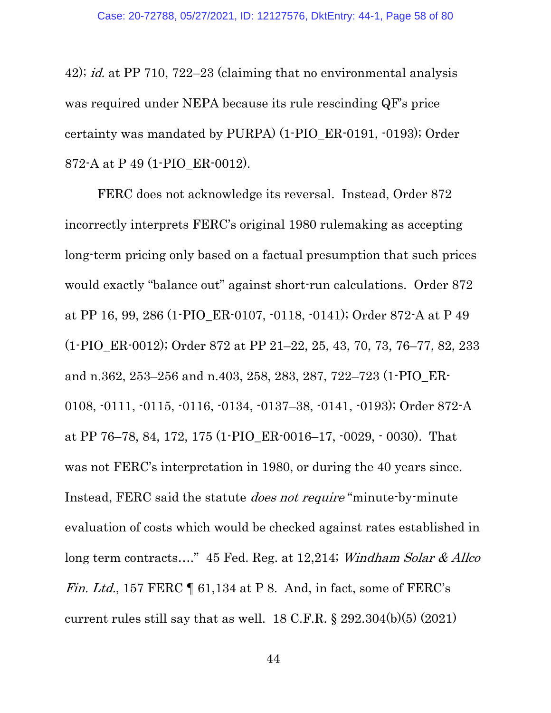42); id. at PP 710, 722–23 (claiming that no environmental analysis was required under NEPA because its rule rescinding QF's price certainty was mandated by PURPA) (1-PIO\_ER-0191, -0193); Order 872-A at P 49 (1-PIO\_ER-0012).

FERC does not acknowledge its reversal. Instead, Order 872 incorrectly interprets FERC's original 1980 rulemaking as accepting long-term pricing only based on a factual presumption that such prices would exactly "balance out" against short-run calculations. Order 872 at PP 16, 99, 286 (1-PIO\_ER-0107, -0118, -0141); Order 872-A at P 49 (1-PIO\_ER-0012); Order 872 at PP 21–22, 25, 43, 70, 73, 76–77, 82, 233 and n.362, 253–256 and n.403, 258, 283, 287, 722–723 (1-PIO\_ER-0108, -0111, -0115, -0116, -0134, -0137–38, -0141, -0193); Order 872-A at PP 76–78, 84, 172, 175 (1-PIO\_ER-0016–17, -0029, - 0030). That was not FERC's interpretation in 1980, or during the 40 years since. Instead, FERC said the statute *does not require* "minute-by-minute" evaluation of costs which would be checked against rates established in long term contracts...." 45 Fed. Reg. at 12,214; Windham Solar & Allco Fin. Ltd., 157 FERC  $\P$  61,134 at P 8. And, in fact, some of FERC's current rules still say that as well.  $18$  C.F.R.  $\S 292.304(b)(5)$  (2021)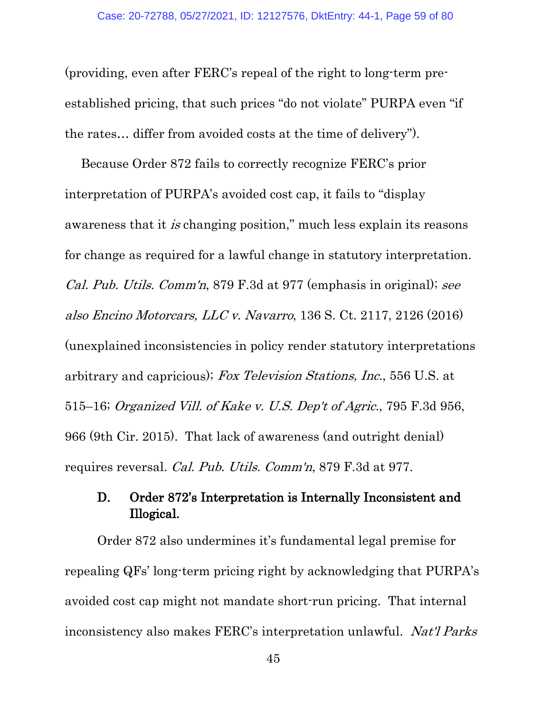(providing, even after FERC's repeal of the right to long-term preestablished pricing, that such prices "do not violate" PURPA even "if the rates… differ from avoided costs at the time of delivery").

Because Order 872 fails to correctly recognize FERC's prior interpretation of PURPA's avoided cost cap, it fails to "display awareness that it is changing position," much less explain its reasons for change as required for a lawful change in statutory interpretation. Cal. Pub. Utils. Comm'n, 879 F.3d at 977 (emphasis in original); see also Encino Motorcars, LLC v. Navarro, 136 S. Ct. 2117, 2126 (2016) (unexplained inconsistencies in policy render statutory interpretations arbitrary and capricious); Fox Television Stations, Inc., 556 U.S. at 515–16; Organized Vill. of Kake v. U.S. Dep't of Agric., 795 F.3d 956, 966 (9th Cir. 2015). That lack of awareness (and outright denial) requires reversal. Cal. Pub. Utils. Comm'n, 879 F.3d at 977.

# D. Order 872's Interpretation is Internally Inconsistent and Illogical.

Order 872 also undermines it's fundamental legal premise for repealing QFs' long-term pricing right by acknowledging that PURPA's avoided cost cap might not mandate short-run pricing. That internal inconsistency also makes FERC's interpretation unlawful. Nat'l Parks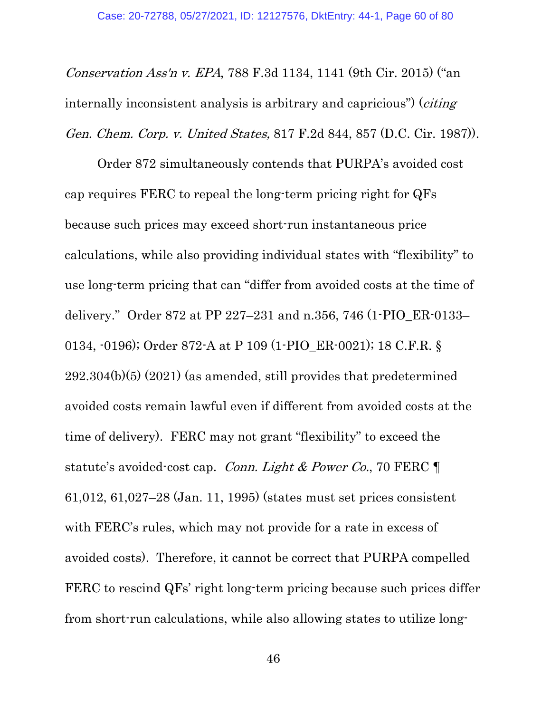Conservation Ass'n v. EPA, 788 F.3d 1134, 1141 (9th Cir. 2015) ("an internally inconsistent analysis is arbitrary and capricious") (*citing* Gen. Chem. Corp. v. United States, 817 F.2d 844, 857 (D.C. Cir. 1987)).

Order 872 simultaneously contends that PURPA's avoided cost cap requires FERC to repeal the long-term pricing right for QFs because such prices may exceed short-run instantaneous price calculations, while also providing individual states with "flexibility" to use long-term pricing that can "differ from avoided costs at the time of delivery." Order 872 at PP 227–231 and n.356, 746 (1-PIO\_ER-0133– 0134, -0196); Order 872-A at P 109 (1-PIO\_ER-0021); 18 C.F.R. § 292.304(b)(5) (2021) (as amended, still provides that predetermined avoided costs remain lawful even if different from avoided costs at the time of delivery). FERC may not grant "flexibility" to exceed the statute's avoided-cost cap. Conn. Light & Power Co., 70 FERC  $\P$ 61,012, 61,027–28 (Jan. 11, 1995) (states must set prices consistent with FERC's rules, which may not provide for a rate in excess of avoided costs). Therefore, it cannot be correct that PURPA compelled FERC to rescind QFs' right long-term pricing because such prices differ from short-run calculations, while also allowing states to utilize long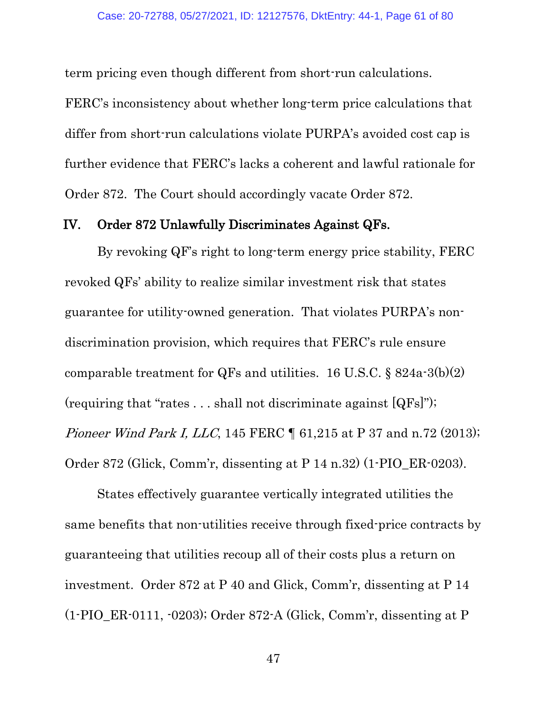term pricing even though different from short-run calculations.

FERC's inconsistency about whether long-term price calculations that differ from short-run calculations violate PURPA's avoided cost cap is further evidence that FERC's lacks a coherent and lawful rationale for Order 872. The Court should accordingly vacate Order 872.

#### IV. Order 872 Unlawfully Discriminates Against QFs.

By revoking QF's right to long-term energy price stability, FERC revoked QFs' ability to realize similar investment risk that states guarantee for utility-owned generation. That violates PURPA's nondiscrimination provision, which requires that FERC's rule ensure comparable treatment for QFs and utilities. 16 U.S.C.  $\S 824a-3(b)(2)$ (requiring that "rates  $\dots$  shall not discriminate against  $[QFs]$ "); Pioneer Wind Park I, LLC, 145 FERC ¶ 61,215 at P 37 and n.72 (2013); Order 872 (Glick, Comm'r, dissenting at P 14 n.32) (1-PIO\_ER-0203).

States effectively guarantee vertically integrated utilities the same benefits that non-utilities receive through fixed-price contracts by guaranteeing that utilities recoup all of their costs plus a return on investment. Order 872 at P 40 and Glick, Comm'r, dissenting at P 14 (1-PIO\_ER-0111, -0203); Order 872-A (Glick, Comm'r, dissenting at P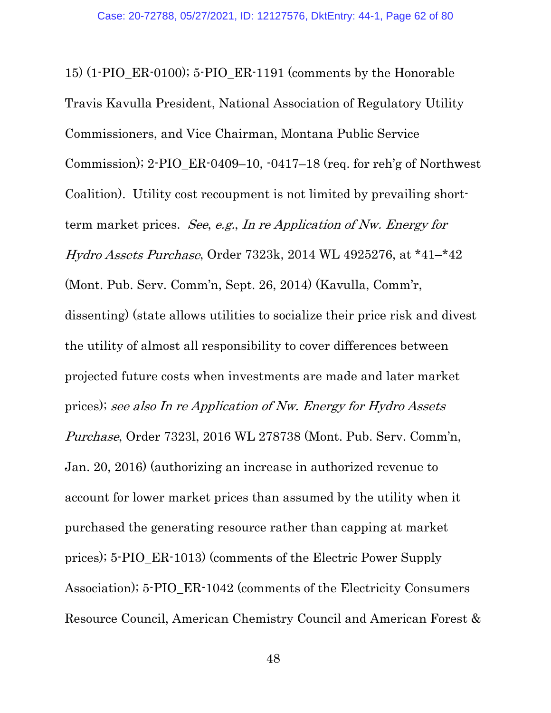15) (1-PIO\_ER-0100); 5-PIO\_ER-1191 (comments by the Honorable Travis Kavulla President, National Association of Regulatory Utility Commissioners, and Vice Chairman, Montana Public Service Commission); 2-PIO\_ER-0409–10, -0417–18 (req. for reh'g of Northwest Coalition). Utility cost recoupment is not limited by prevailing shortterm market prices. See, e.g., In re Application of Nw. Energy for Hydro Assets Purchase, Order 7323k, 2014 WL 4925276, at \*41–\*42 (Mont. Pub. Serv. Comm'n, Sept. 26, 2014) (Kavulla, Comm'r, dissenting) (state allows utilities to socialize their price risk and divest the utility of almost all responsibility to cover differences between projected future costs when investments are made and later market prices); see also In re Application of Nw. Energy for Hydro Assets Purchase, Order 7323l, 2016 WL 278738 (Mont. Pub. Serv. Comm'n, Jan. 20, 2016) (authorizing an increase in authorized revenue to account for lower market prices than assumed by the utility when it purchased the generating resource rather than capping at market prices); 5-PIO\_ER-1013) (comments of the Electric Power Supply Association); 5-PIO\_ER-1042 (comments of the Electricity Consumers Resource Council, American Chemistry Council and American Forest &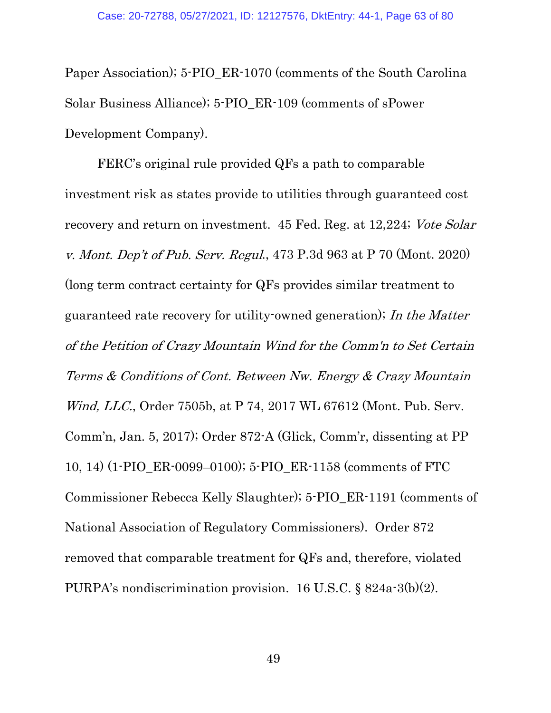Paper Association); 5-PIO\_ER-1070 (comments of the South Carolina Solar Business Alliance); 5-PIO\_ER-109 (comments of sPower Development Company).

FERC's original rule provided QFs a path to comparable investment risk as states provide to utilities through guaranteed cost recovery and return on investment. 45 Fed. Reg. at 12,224; Vote Solar v. Mont. Dep't of Pub. Serv. Regul., 473 P.3d 963 at P 70 (Mont. 2020) (long term contract certainty for QFs provides similar treatment to guaranteed rate recovery for utility-owned generation); In the Matter of the Petition of Crazy Mountain Wind for the Comm'n to Set Certain Terms & Conditions of Cont. Between Nw. Energy & Crazy Mountain Wind, LLC., Order 7505b, at P 74, 2017 WL 67612 (Mont. Pub. Serv. Comm'n, Jan. 5, 2017); Order 872-A (Glick, Comm'r, dissenting at PP 10, 14) (1-PIO\_ER-0099–0100); 5-PIO\_ER-1158 (comments of FTC Commissioner Rebecca Kelly Slaughter); 5-PIO\_ER-1191 (comments of National Association of Regulatory Commissioners). Order 872 removed that comparable treatment for QFs and, therefore, violated PURPA's nondiscrimination provision. 16 U.S.C. § 824a-3(b)(2).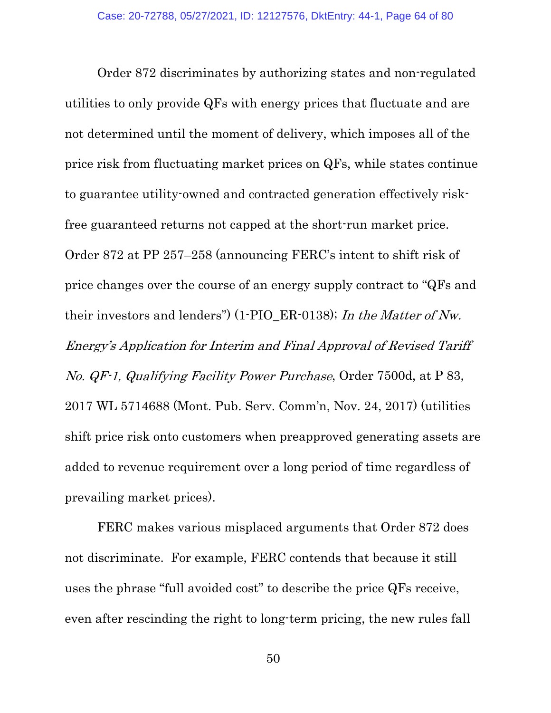Order 872 discriminates by authorizing states and non-regulated utilities to only provide QFs with energy prices that fluctuate and are not determined until the moment of delivery, which imposes all of the price risk from fluctuating market prices on QFs, while states continue to guarantee utility-owned and contracted generation effectively riskfree guaranteed returns not capped at the short-run market price. Order 872 at PP 257–258 (announcing FERC's intent to shift risk of price changes over the course of an energy supply contract to "QFs and their investors and lenders") (1-PIO\_ER-0138); In the Matter of Nw. Energy's Application for Interim and Final Approval of Revised Tariff No. QF-1, Qualifying Facility Power Purchase, Order 7500d, at P 83, 2017 WL 5714688 (Mont. Pub. Serv. Comm'n, Nov. 24, 2017) (utilities shift price risk onto customers when preapproved generating assets are added to revenue requirement over a long period of time regardless of prevailing market prices).

FERC makes various misplaced arguments that Order 872 does not discriminate. For example, FERC contends that because it still uses the phrase "full avoided cost" to describe the price QFs receive, even after rescinding the right to long-term pricing, the new rules fall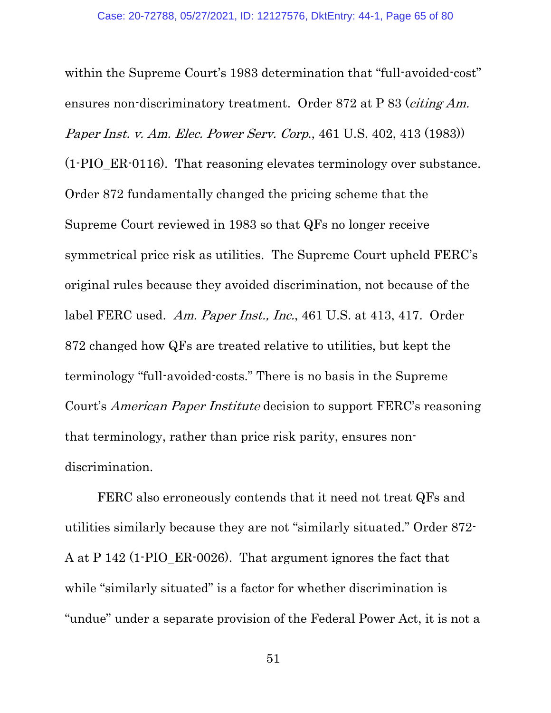within the Supreme Court's 1983 determination that "full-avoided-cost" ensures non-discriminatory treatment. Order 872 at P 83 (citing Am. Paper Inst. v. Am. Elec. Power Serv. Corp., 461 U.S. 402, 413 (1983)) (1-PIO\_ER-0116). That reasoning elevates terminology over substance. Order 872 fundamentally changed the pricing scheme that the Supreme Court reviewed in 1983 so that QFs no longer receive symmetrical price risk as utilities. The Supreme Court upheld FERC's original rules because they avoided discrimination, not because of the label FERC used. Am. Paper Inst., Inc., 461 U.S. at 413, 417. Order 872 changed how QFs are treated relative to utilities, but kept the terminology "full-avoided-costs." There is no basis in the Supreme Court's American Paper Institute decision to support FERC's reasoning that terminology, rather than price risk parity, ensures nondiscrimination.

FERC also erroneously contends that it need not treat QFs and utilities similarly because they are not "similarly situated." Order 872- A at P 142 (1-PIO\_ER-0026). That argument ignores the fact that while "similarly situated" is a factor for whether discrimination is "undue" under a separate provision of the Federal Power Act, it is not a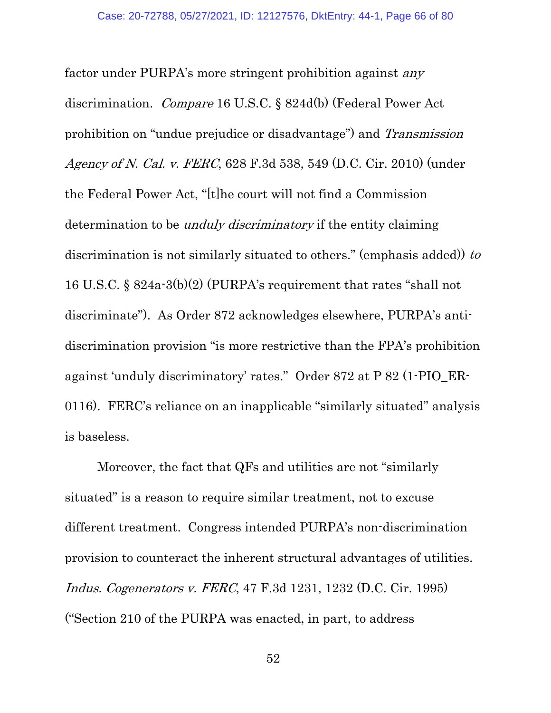factor under PURPA's more stringent prohibition against any discrimination. Compare 16 U.S.C. § 824d(b) (Federal Power Act prohibition on "undue prejudice or disadvantage") and Transmission Agency of N. Cal. v. FERC, 628 F.3d 538, 549 (D.C. Cir. 2010) (under the Federal Power Act, "[t]he court will not find a Commission determination to be *unduly discriminatory* if the entity claiming discrimination is not similarly situated to others." (emphasis added)) to 16 U.S.C. § 824a-3(b)(2) (PURPA's requirement that rates "shall not discriminate"). As Order 872 acknowledges elsewhere, PURPA's antidiscrimination provision "is more restrictive than the FPA's prohibition against 'unduly discriminatory' rates." Order 872 at P 82 (1-PIO\_ER-0116). FERC's reliance on an inapplicable "similarly situated" analysis is baseless.

Moreover, the fact that QFs and utilities are not "similarly situated" is a reason to require similar treatment, not to excuse different treatment. Congress intended PURPA's non-discrimination provision to counteract the inherent structural advantages of utilities. Indus. Cogenerators v. FERC, 47 F.3d 1231, 1232 (D.C. Cir. 1995) ("Section 210 of the PURPA was enacted, in part, to address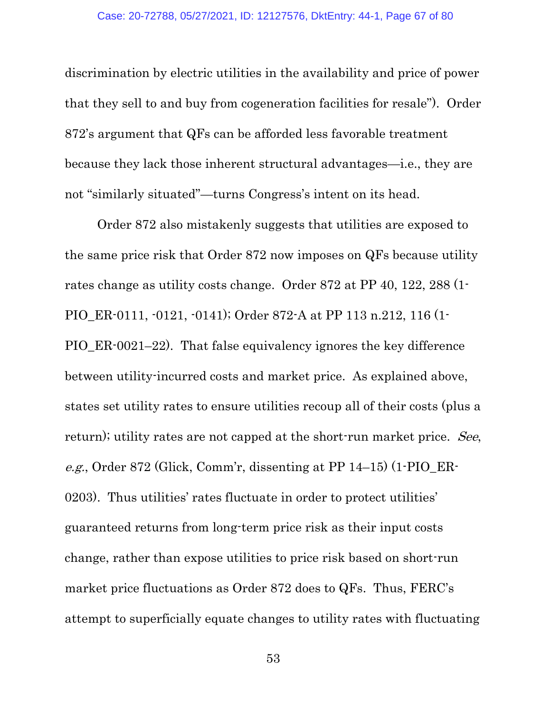discrimination by electric utilities in the availability and price of power that they sell to and buy from cogeneration facilities for resale"). Order 872's argument that QFs can be afforded less favorable treatment because they lack those inherent structural advantages—i.e., they are not "similarly situated"—turns Congress's intent on its head.

Order 872 also mistakenly suggests that utilities are exposed to the same price risk that Order 872 now imposes on QFs because utility rates change as utility costs change. Order 872 at PP 40, 122, 288 (1- PIO\_ER-0111, -0121, -0141); Order 872-A at PP 113 n.212, 116 (1- PIO\_ER-0021–22). That false equivalency ignores the key difference between utility-incurred costs and market price. As explained above, states set utility rates to ensure utilities recoup all of their costs (plus a return); utility rates are not capped at the short-run market price. See, e.g., Order 872 (Glick, Comm'r, dissenting at PP 14–15) (1-PIO\_ER-0203). Thus utilities' rates fluctuate in order to protect utilities' guaranteed returns from long-term price risk as their input costs change, rather than expose utilities to price risk based on short-run market price fluctuations as Order 872 does to QFs. Thus, FERC's attempt to superficially equate changes to utility rates with fluctuating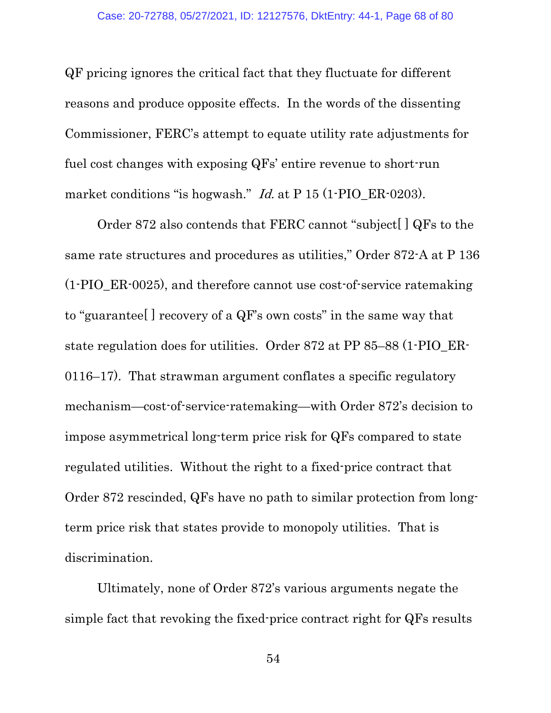QF pricing ignores the critical fact that they fluctuate for different reasons and produce opposite effects. In the words of the dissenting Commissioner, FERC's attempt to equate utility rate adjustments for fuel cost changes with exposing QFs' entire revenue to short-run market conditions "is hogwash." *Id.* at P 15 (1-PIO\_ER-0203).

Order 872 also contends that FERC cannot "subject[ ] QFs to the same rate structures and procedures as utilities," Order 872-A at P 136 (1-PIO\_ER-0025), and therefore cannot use cost-of-service ratemaking to "guarantee[ ] recovery of a QF's own costs" in the same way that state regulation does for utilities. Order 872 at PP 85–88 (1-PIO\_ER-0116–17). That strawman argument conflates a specific regulatory mechanism—cost-of-service-ratemaking—with Order 872's decision to impose asymmetrical long-term price risk for QFs compared to state regulated utilities. Without the right to a fixed-price contract that Order 872 rescinded, QFs have no path to similar protection from longterm price risk that states provide to monopoly utilities. That is discrimination.

Ultimately, none of Order 872's various arguments negate the simple fact that revoking the fixed-price contract right for QFs results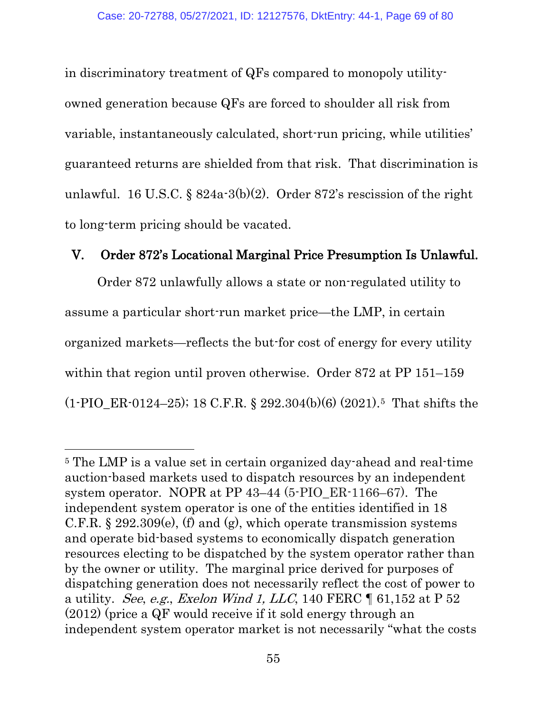in discriminatory treatment of QFs compared to monopoly utilityowned generation because QFs are forced to shoulder all risk from variable, instantaneously calculated, short-run pricing, while utilities' guaranteed returns are shielded from that risk. That discrimination is unlawful. 16 U.S.C.  $\S 824a-3(b)(2)$ . Order 872's rescission of the right to long-term pricing should be vacated.

### V. Order 872's Locational Marginal Price Presumption Is Unlawful.

Order 872 unlawfully allows a state or non-regulated utility to assume a particular short-run market price—the LMP, in certain organized markets—reflects the but-for cost of energy for every utility within that region until proven otherwise. Order 872 at PP 151–159  $(1-PIOER-0124-25); 18 C.F.R. § 292.304(b)(6) (2021).5 That shifts the$  $(1-PIOER-0124-25); 18 C.F.R. § 292.304(b)(6) (2021).5 That shifts the$  $(1-PIOER-0124-25); 18 C.F.R. § 292.304(b)(6) (2021).5 That shifts the$ 

<span id="page-68-0"></span><sup>5</sup> The LMP is a value set in certain organized day-ahead and real-time auction-based markets used to dispatch resources by an independent system operator. NOPR at PP 43–44 (5-PIO\_ER-1166–67). The independent system operator is one of the entities identified in 18 C.F.R.  $\S 292.309(e)$ , (f) and (g), which operate transmission systems and operate bid-based systems to economically dispatch generation resources electing to be dispatched by the system operator rather than by the owner or utility. The marginal price derived for purposes of dispatching generation does not necessarily reflect the cost of power to a utility. See, e.g., Exelon Wind 1, LLC, 140 FERC  $\P$  61,152 at P 52 (2012) (price a QF would receive if it sold energy through an independent system operator market is not necessarily "what the costs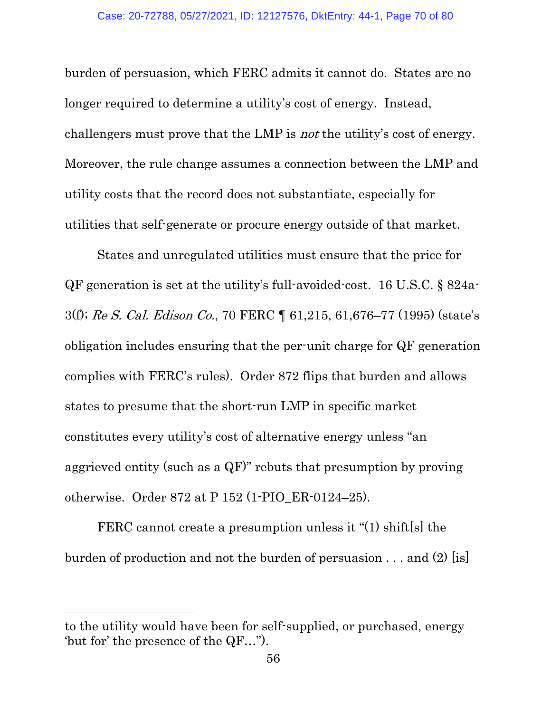burden of persuasion, which FERC admits it cannot do. States are no longer required to determine a utility's cost of energy. Instead, challengers must prove that the LMP is not the utility's cost of energy. Moreover, the rule change assumes a connection between the LMP and utility costs that the record does not substantiate, especially for utilities that self-generate or procure energy outside of that market.

States and unregulated utilities must ensure that the price for QF generation is set at the utility's full-avoided-cost. 16 U.S.C. § 824a-3(f); Re S. Cal. Edison Co., 70 FERC ¶ 61,215, 61,676–77 (1995) (state's obligation includes ensuring that the per-unit charge for QF generation complies with FERC's rules). Order 872 flips that burden and allows states to presume that the short-run LMP in specific market constitutes every utility's cost of alternative energy unless "an aggrieved entity (such as a QF)" rebuts that presumption by proving otherwise. Order 872 at P 152 (1-PIO\_ER-0124–25).

FERC cannot create a presumption unless it "(1) shift[s] the burden of production and not the burden of persuasion  $\dots$  and (2) [is]

to the utility would have been for self-supplied, or purchased, energy 'but for' the presence of the QF…").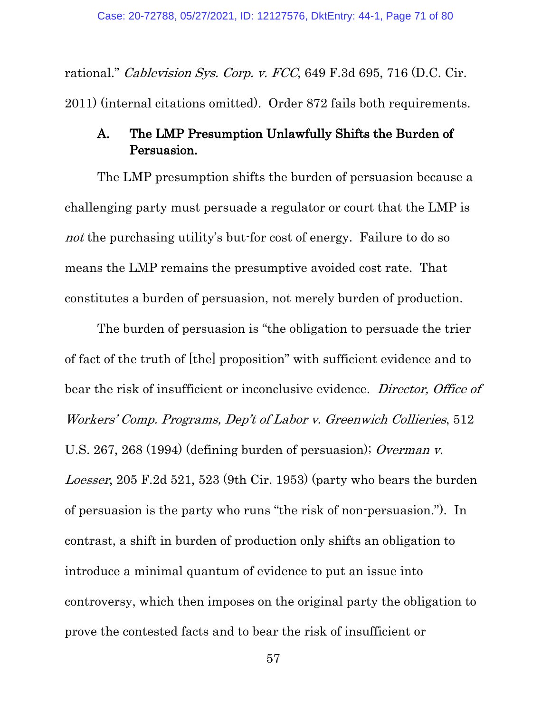rational." Cablevision Sys. Corp. v. FCC, 649 F.3d 695, 716 (D.C. Cir. 2011) (internal citations omitted). Order 872 fails both requirements.

## A. The LMP Presumption Unlawfully Shifts the Burden of Persuasion.

The LMP presumption shifts the burden of persuasion because a challenging party must persuade a regulator or court that the LMP is not the purchasing utility's but-for cost of energy. Failure to do so means the LMP remains the presumptive avoided cost rate. That constitutes a burden of persuasion, not merely burden of production.

The burden of persuasion is "the obligation to persuade the trier of fact of the truth of [the] proposition" with sufficient evidence and to bear the risk of insufficient or inconclusive evidence. Director, Office of Workers' Comp. Programs, Dep't of Labor v. Greenwich Collieries, 512 U.S. 267, 268 (1994) (defining burden of persuasion); [Overman v.](https://1.next.westlaw.com/Link/Document/FullText?findType=Y&serNum=1953119046&pubNum=0000350&originatingDoc=Ic01a8180a99311e98eaef725d418138a&refType=RP&fi=co_pp_sp_350_523&originationContext=document&transitionType=DocumentItem&contextData=(sc.Keycite)#co_pp_sp_350_523)  Loesser[, 205 F.2d 521, 523 \(9th Cir. 1953\)](https://1.next.westlaw.com/Link/Document/FullText?findType=Y&serNum=1953119046&pubNum=0000350&originatingDoc=Ic01a8180a99311e98eaef725d418138a&refType=RP&fi=co_pp_sp_350_523&originationContext=document&transitionType=DocumentItem&contextData=(sc.Keycite)#co_pp_sp_350_523) (party who bears the burden of persuasion is the party who runs "the risk of non-persuasion."). In contrast, a shift in burden of production only shifts an obligation to introduce a minimal quantum of evidence to put an issue into controversy, which then imposes on the original party the obligation to prove the contested facts and to bear the risk of insufficient or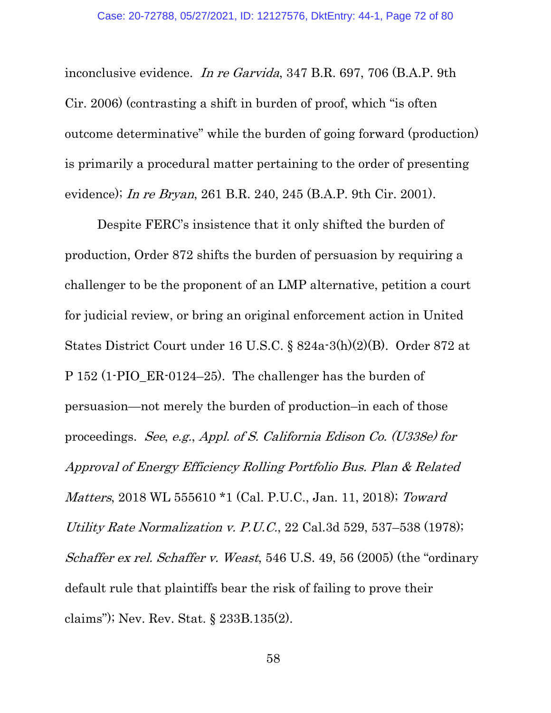inconclusive evidence. In re Garvida, 347 B.R. 697, 706 (B.A.P. 9th Cir. 2006) (contrasting a shift in burden of proof, which "is often outcome determinative" while the burden of going forward (production) is primarily a procedural matter pertaining to the order of presenting evidence); *In re Bryan*, 261 B.R. 240, 245 (B.A.P. 9th Cir. 2001).

Despite FERC's insistence that it only shifted the burden of production, Order 872 shifts the burden of persuasion by requiring a challenger to be the proponent of an LMP alternative, petition a court for judicial review, or bring an original enforcement action in United States District Court under 16 U.S.C. § 824a-3(h)(2)(B). Order 872 at P 152 (1-PIO\_ER-0124–25). The challenger has the burden of persuasion—not merely the burden of production–in each of those proceedings. See, e.g., Appl. of S. California Edison Co. (U338e) for Approval of Energy Efficiency Rolling Portfolio Bus. Plan & Related Matters, 2018 WL 555610 \*1 (Cal. P.U.C., Jan. 11, 2018); Toward Utility Rate Normalization v. P.U.C., 22 Cal.3d 529, 537–538 (1978); Schaffer ex rel. Schaffer v. Weast, 546 U.S. 49, 56 (2005) (the "ordinary default rule that plaintiffs bear the risk of failing to prove their claims"); Nev. Rev. Stat. § 233B.135(2).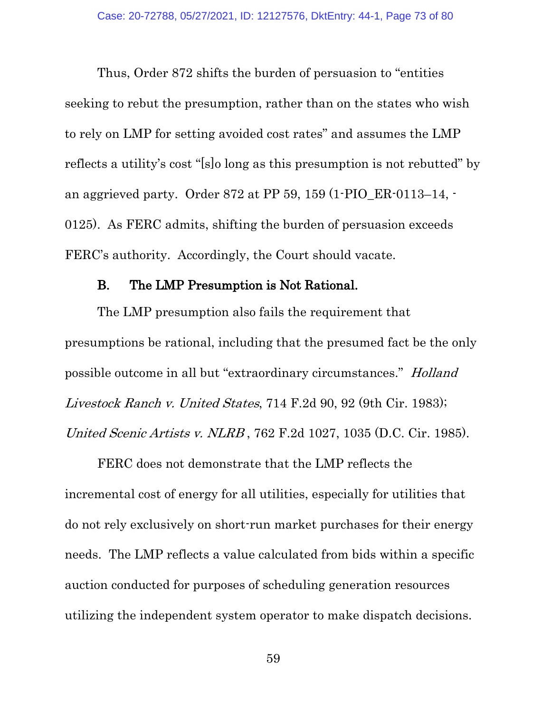Thus, Order 872 shifts the burden of persuasion to "entities seeking to rebut the presumption, rather than on the states who wish to rely on LMP for setting avoided cost rates" and assumes the LMP reflects a utility's cost "[s]o long as this presumption is not rebutted" by an aggrieved party. Order 872 at PP 59, 159 (1-PIO\_ER-0113–14, - 0125). As FERC admits, shifting the burden of persuasion exceeds FERC's authority. Accordingly, the Court should vacate.

#### B. The LMP Presumption is Not Rational.

The LMP presumption also fails the requirement that presumptions be rational, including that the presumed fact be the only possible outcome in all but "extraordinary circumstances." Holland Livestock Ranch v. United States, 714 F.2d 90, 92 (9th Cir. 1983); [United Scenic Artists v. NLRB](https://1.next.westlaw.com/Link/Document/FullText?findType=Y&serNum=1985126622&pubNum=0000350&originatingDoc=I6d4e6440633511e79657885de1b1150a&refType=RP&originationContext=document&transitionType=DocumentItem&contextData=(sc.Keycite)) , [762 F.2d 1027, 1035 \(D.C. Cir. 1985\).](https://1.next.westlaw.com/Link/Document/FullText?findType=Y&serNum=1985126622&pubNum=0000350&originatingDoc=I6d4e6440633511e79657885de1b1150a&refType=RP&fi=co_pp_sp_350_1035&originationContext=document&transitionType=DocumentItem&contextData=(sc.Keycite)#co_pp_sp_350_1035)

FERC does not demonstrate that the LMP reflects the incremental cost of energy for all utilities, especially for utilities that do not rely exclusively on short-run market purchases for their energy needs. The LMP reflects a value calculated from bids within a specific auction conducted for purposes of scheduling generation resources utilizing the independent system operator to make dispatch decisions.

59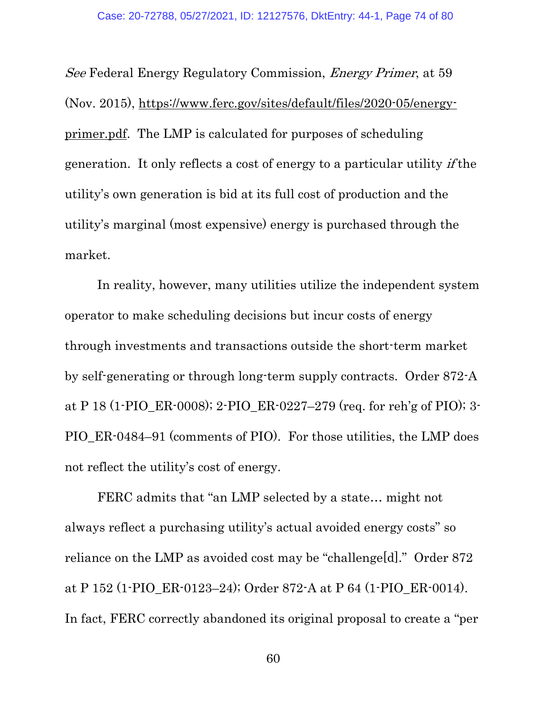See Federal Energy Regulatory Commission, Energy Primer, at 59 (Nov. 2015), [https://www.ferc.gov/sites/default/files/2020-05/energy](https://www.ferc.gov/sites/default/files/2020-05/energy-primer.pdf)[primer.pdf.](https://www.ferc.gov/sites/default/files/2020-05/energy-primer.pdf) The LMP is calculated for purposes of scheduling generation. It only reflects a cost of energy to a particular utility if the utility's own generation is bid at its full cost of production and the utility's marginal (most expensive) energy is purchased through the market.

In reality, however, many utilities utilize the independent system operator to make scheduling decisions but incur costs of energy through investments and transactions outside the short-term market by self-generating or through long-term supply contracts. Order 872-A at P 18 (1-PIO\_ER-0008); 2-PIO\_ER-0227–279 (req. for reh'g of PIO); 3- PIO\_ER-0484–91 (comments of PIO). For those utilities, the LMP does not reflect the utility's cost of energy.

FERC admits that "an LMP selected by a state... might not always reflect a purchasing utility's actual avoided energy costs" so reliance on the LMP as avoided cost may be "challenge[d]." Order 872 at P 152 (1-PIO\_ER-0123–24); Order 872-A at P 64 (1-PIO\_ER-0014). In fact, FERC correctly abandoned its original proposal to create a "per

60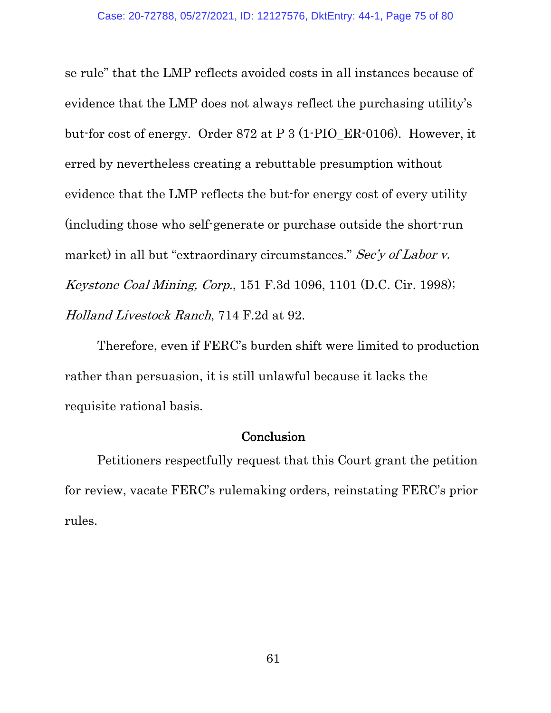se rule" that the LMP reflects avoided costs in all instances because of evidence that the LMP does not always reflect the purchasing utility's but-for cost of energy. Order 872 at P 3 (1-PIO\_ER-0106). However, it erred by nevertheless creating a rebuttable presumption without evidence that the LMP reflects the but-for energy cost of every utility (including those who self-generate or purchase outside the short-run market) in all but "extraordinary circumstances." Sec'y of Labor v. Keystone Coal Mining, Corp., 151 F.3d 1096, 1101 (D.C. Cir. 1998); Holland Livestock Ranch, 714 F.2d at 92.

Therefore, even if FERC's burden shift were limited to production rather than persuasion, it is still unlawful because it lacks the requisite rational basis.

#### **Conclusion**

Petitioners respectfully request that this Court grant the petition for review, vacate FERC's rulemaking orders, reinstating FERC's prior rules.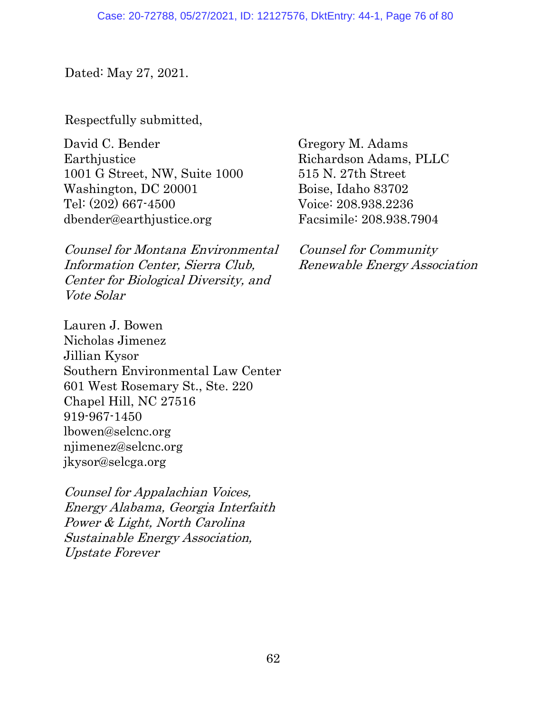Dated: May 27, 2021.

Respectfully submitted,

David C. Bender **Earthjustice** 1001 G Street, NW, Suite 1000 Washington, DC 20001 Tel: (202) 667-4500 dbender@earthjustice.org

Counsel for Montana Environmental Information Center, Sierra Club, Center for Biological Diversity, and Vote Solar

Lauren J. Bowen Nicholas Jimenez Jillian Kysor Southern Environmental Law Center 601 West Rosemary St., Ste. 220 Chapel Hill, NC 27516 919-967-1450 lbowen@selcnc.org njimenez@selcnc.org jkysor@selcga.org

Counsel for Appalachian Voices, Energy Alabama, Georgia Interfaith Power & Light, North Carolina Sustainable Energy Association, Upstate Forever

Gregory M. Adams Richardson Adams, PLLC 515 N. 27th Street Boise, Idaho 83702 Voice: 208.938.2236 Facsimile: 208.938.7904

Counsel for Community Renewable Energy Association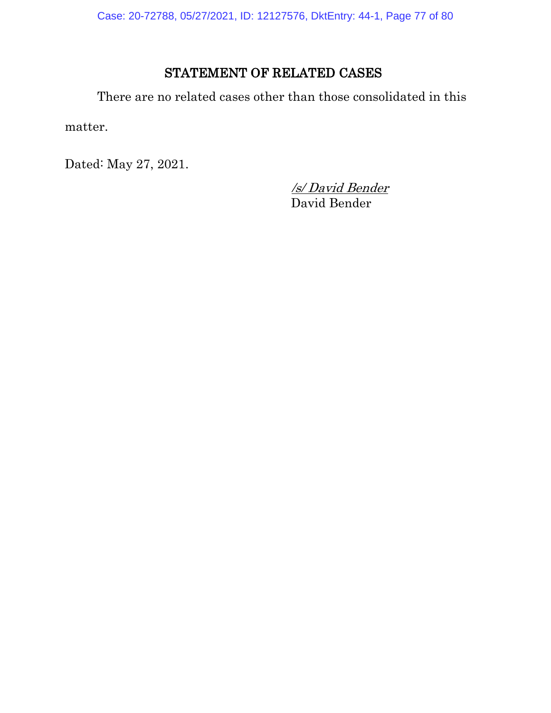Case: 20-72788, 05/27/2021, ID: 12127576, DktEntry: 44-1, Page 77 of 80

# STATEMENT OF RELATED CASES

There are no related cases other than those consolidated in this

matter.

Dated: May 27, 2021.

/s/ David Bender David Bender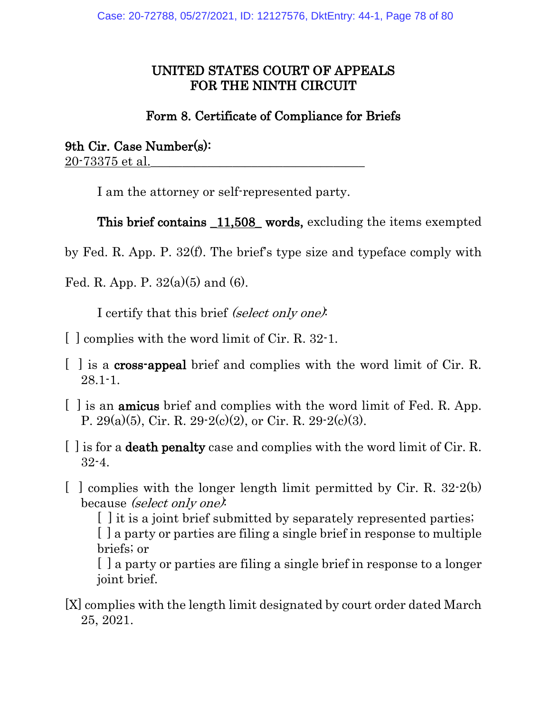### UNITED STATES COURT OF APPEALS FOR THE NINTH CIRCUIT

## Form 8. Certificate of Compliance for Briefs

9th Cir. Case Number(s): 20-73375 et al.

I am the attorney or self-represented party.

This brief contains \_11,508\_ words, excluding the items exempted

by Fed. R. App. P. 32(f). The brief's type size and typeface comply with

Fed. R. App. P.  $32(a)(5)$  and  $(6)$ .

I certify that this brief (select only one):

- [ ] complies with the word limit of Cir. R. 32-1.
- [ ] is a cross-appeal brief and complies with the word limit of Cir. R. 28.1-1.
- [ ] is an amicus brief and complies with the word limit of Fed. R. App. P. 29(a)(5), Cir. R. 29-2(c)(2), or Cir. R. 29-2(c)(3).
- [ ] is for a death penalty case and complies with the word limit of Cir. R. 32-4.
- $\lceil$  g complies with the longer length limit permitted by Cir. R. 32.2(b) because *(select only one)*:

[] it is a joint brief submitted by separately represented parties; [ ] a party or parties are filing a single brief in response to multiple briefs; or

[ ] a party or parties are filing a single brief in response to a longer joint brief.

[X] complies with the length limit designated by court order dated March 25, 2021.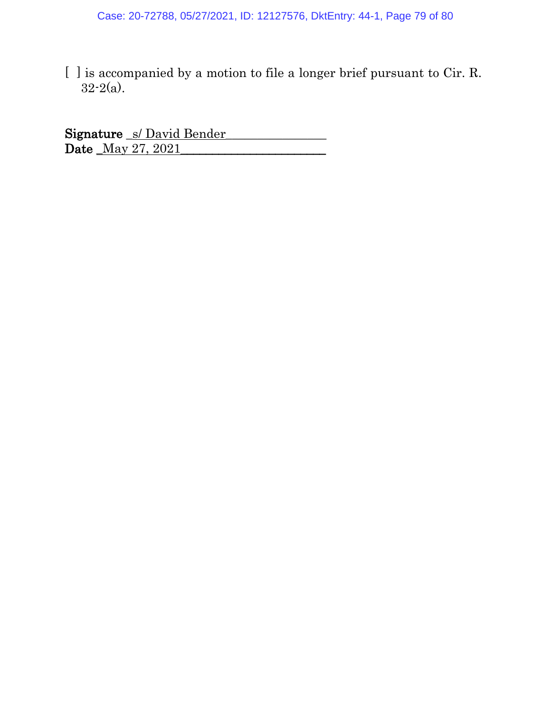[ ] is accompanied by a motion to file a longer brief pursuant to Cir. R. 32-2(a).

Signature S/ David Bender Date <u>May 27, 2021</u>